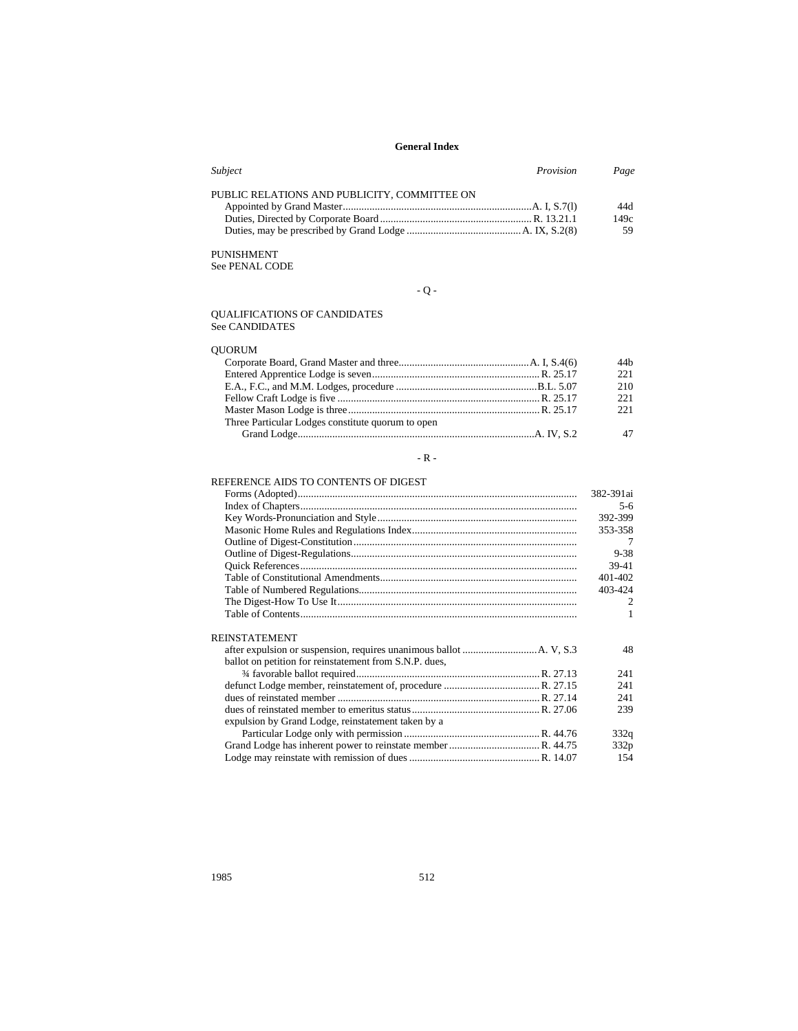| Subject<br>Provision                         | Page |
|----------------------------------------------|------|
| PUBLIC RELATIONS AND PUBLICITY. COMMITTEE ON |      |
|                                              | 44d  |
|                                              | 149c |
|                                              | 59   |

# PUNISHMENT

See PENAL CODE

# - Q -

#### QUALIFICATIONS OF CANDIDATES See CANDIDATES

# QUORUM

| 44h |
|-----|
| 221 |
| 210 |
| 221 |
| 221 |
|     |
|     |
|     |

# - R -  $\,$

# REFERENCE AIDS TO CONTENTS OF DIGEST

|                                                        | 382-391ai      |
|--------------------------------------------------------|----------------|
|                                                        | $5-6$          |
|                                                        | 392-399        |
|                                                        | 353-358        |
|                                                        | 7              |
|                                                        | $9 - 38$       |
|                                                        | 39-41          |
|                                                        | 401-402        |
|                                                        | 403-424        |
|                                                        | $\overline{2}$ |
|                                                        | 1              |
| <b>REINSTATEMENT</b>                                   |                |
|                                                        | 48             |
| ballot on petition for reinstatement from S.N.P. dues, |                |
|                                                        | 241            |
|                                                        | 241            |
|                                                        | 241            |
|                                                        | 239            |
| expulsion by Grand Lodge, reinstatement taken by a     |                |
|                                                        | 332q           |
|                                                        | 332p           |
|                                                        | 154            |
|                                                        |                |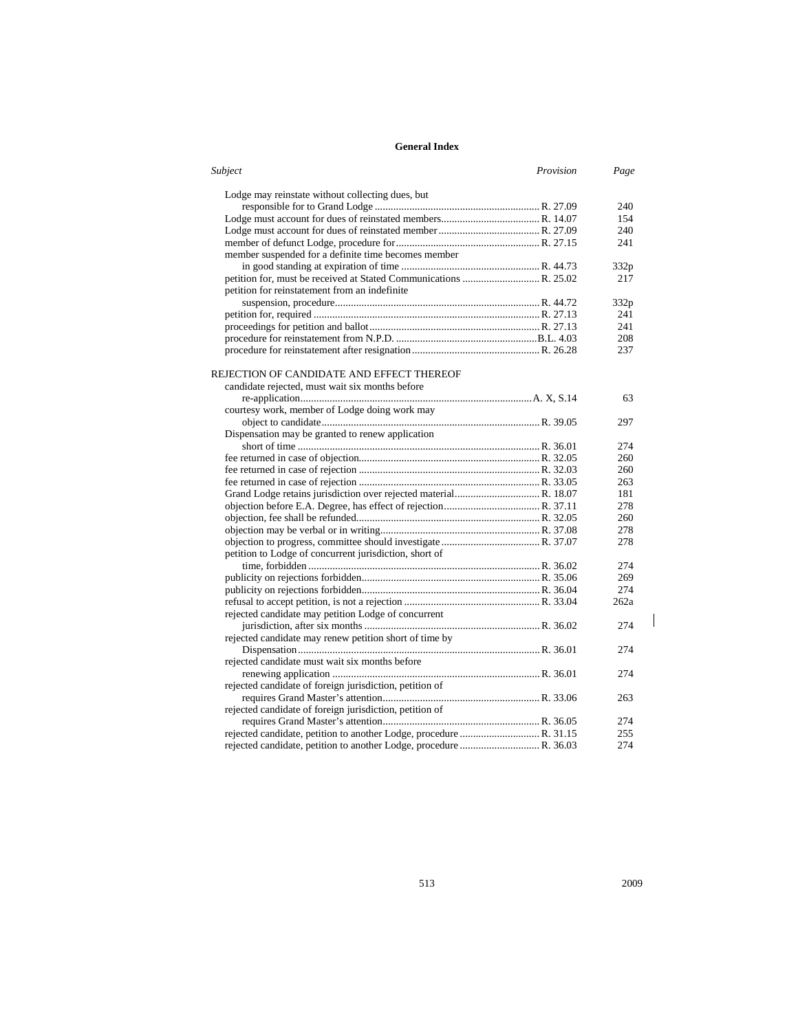| Subject                                                 | Provision | Page |
|---------------------------------------------------------|-----------|------|
| Lodge may reinstate without collecting dues, but        |           |      |
|                                                         |           | 240  |
|                                                         |           | 154  |
|                                                         |           | 240  |
|                                                         |           | 241  |
| member suspended for a definite time becomes member     |           |      |
|                                                         |           | 332p |
|                                                         |           | 217  |
| petition for reinstatement from an indefinite           |           |      |
|                                                         |           | 332p |
|                                                         |           | 241  |
|                                                         |           | 241  |
|                                                         |           | 208  |
|                                                         |           | 237  |
| REJECTION OF CANDIDATE AND EFFECT THEREOF               |           |      |
| candidate rejected, must wait six months before         |           |      |
|                                                         |           | 63   |
| courtesy work, member of Lodge doing work may           |           |      |
|                                                         |           | 297  |
|                                                         |           |      |
| Dispensation may be granted to renew application        |           |      |
|                                                         |           | 274  |
|                                                         |           | 260  |
|                                                         |           | 260  |
|                                                         |           | 263  |
|                                                         |           | 181  |
|                                                         |           | 278  |
|                                                         |           | 260  |
|                                                         |           | 278  |
|                                                         |           | 278  |
| petition to Lodge of concurrent jurisdiction, short of  |           |      |
|                                                         |           | 274  |
|                                                         |           | 269  |
|                                                         |           | 274  |
|                                                         |           | 262a |
| rejected candidate may petition Lodge of concurrent     |           |      |
|                                                         |           | 274  |
| rejected candidate may renew petition short of time by  |           |      |
|                                                         |           | 274  |
| rejected candidate must wait six months before          |           |      |
|                                                         |           | 274  |
| rejected candidate of foreign jurisdiction, petition of |           |      |
|                                                         |           | 263  |
| rejected candidate of foreign jurisdiction, petition of |           |      |
|                                                         |           | 274  |
|                                                         |           | 255  |
|                                                         |           | 274  |
|                                                         |           |      |

 $\mathsf I$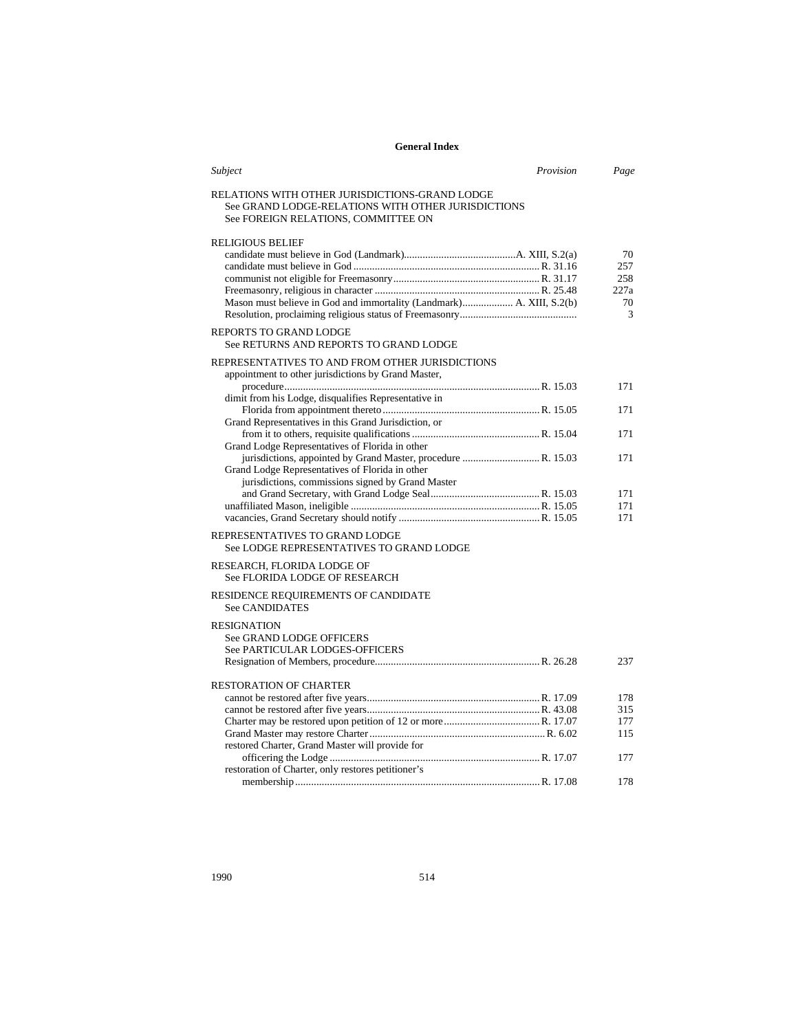| Subject                                                                                                                                     | Provision | Page    |
|---------------------------------------------------------------------------------------------------------------------------------------------|-----------|---------|
| RELATIONS WITH OTHER JURISDICTIONS-GRAND LODGE<br>See GRAND LODGE-RELATIONS WITH OTHER JURISDICTIONS<br>See FOREIGN RELATIONS, COMMITTEE ON |           |         |
| <b>RELIGIOUS BELIEF</b>                                                                                                                     |           |         |
|                                                                                                                                             |           | 70      |
|                                                                                                                                             |           | 257     |
|                                                                                                                                             |           | 258     |
|                                                                                                                                             |           | 227a    |
| Mason must believe in God and immortality (Landmark) A. XIII, S.2(b)                                                                        |           | 70<br>3 |
| <b>REPORTS TO GRAND LODGE</b><br>See RETURNS AND REPORTS TO GRAND LODGE                                                                     |           |         |
| REPRESENTATIVES TO AND FROM OTHER JURISDICTIONS<br>appointment to other jurisdictions by Grand Master,                                      |           |         |
|                                                                                                                                             |           | 171     |
| dimit from his Lodge, disqualifies Representative in                                                                                        |           |         |
|                                                                                                                                             |           | 171     |
| Grand Representatives in this Grand Jurisdiction, or                                                                                        |           |         |
|                                                                                                                                             |           | 171     |
| Grand Lodge Representatives of Florida in other                                                                                             |           |         |
| jurisdictions, appointed by Grand Master, procedure  R. 15.03                                                                               |           | 171     |
| Grand Lodge Representatives of Florida in other                                                                                             |           |         |
| jurisdictions, commissions signed by Grand Master                                                                                           |           |         |
|                                                                                                                                             |           | 171     |
|                                                                                                                                             |           | 171     |
|                                                                                                                                             |           | 171     |
| REPRESENTATIVES TO GRAND LODGE<br>See LODGE REPRESENTATIVES TO GRAND LODGE                                                                  |           |         |
| RESEARCH, FLORIDA LODGE OF                                                                                                                  |           |         |
| See FLORIDA LODGE OF RESEARCH                                                                                                               |           |         |
| RESIDENCE REQUIREMENTS OF CANDIDATE                                                                                                         |           |         |
| <b>See CANDIDATES</b>                                                                                                                       |           |         |
| <b>RESIGNATION</b>                                                                                                                          |           |         |
| See GRAND LODGE OFFICERS                                                                                                                    |           |         |
| See PARTICULAR LODGES-OFFICERS                                                                                                              |           |         |
|                                                                                                                                             |           | 237     |
|                                                                                                                                             |           |         |
| <b>RESTORATION OF CHARTER</b>                                                                                                               |           |         |
|                                                                                                                                             |           | 178     |
|                                                                                                                                             |           | 315     |
|                                                                                                                                             |           | 177     |
|                                                                                                                                             |           | 115     |
| restored Charter, Grand Master will provide for                                                                                             |           |         |
|                                                                                                                                             |           | 177     |
| restoration of Charter, only restores petitioner's                                                                                          |           | 178     |
|                                                                                                                                             |           |         |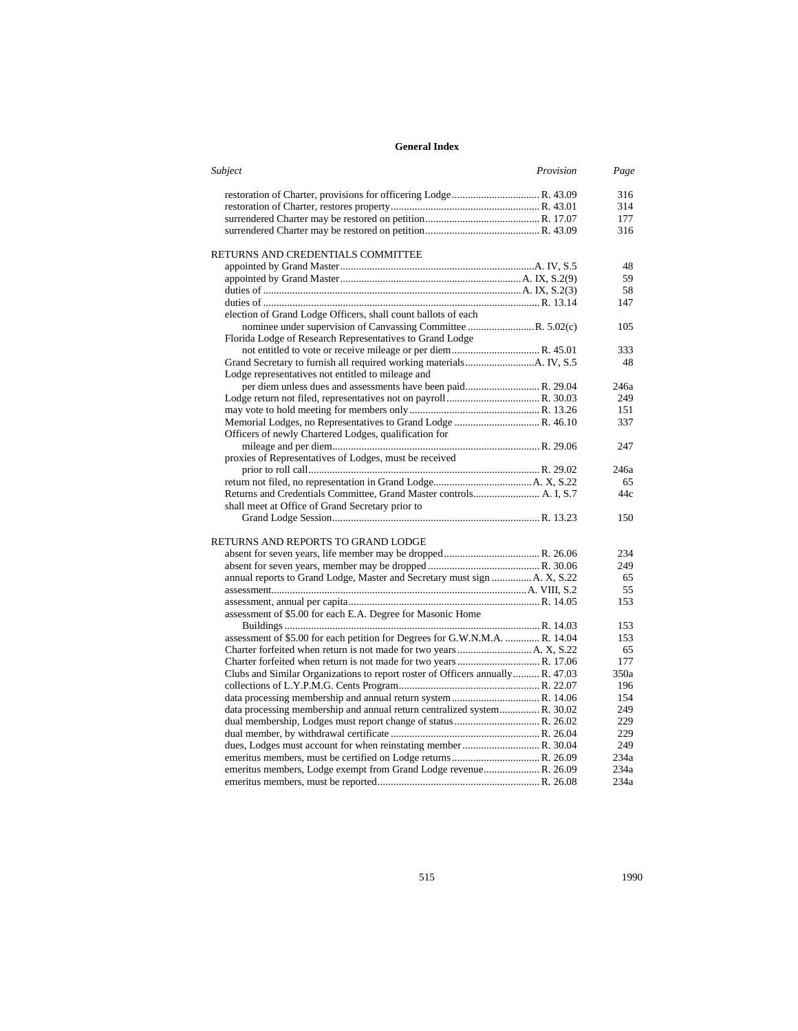| Subject                                                                        | Provision | Page |
|--------------------------------------------------------------------------------|-----------|------|
|                                                                                |           | 316  |
|                                                                                |           | 314  |
|                                                                                |           | 177  |
|                                                                                |           | 316  |
| RETURNS AND CREDENTIALS COMMITTEE                                              |           |      |
|                                                                                |           | 48   |
|                                                                                |           | 59   |
|                                                                                |           | 58   |
|                                                                                |           | 147  |
| election of Grand Lodge Officers, shall count ballots of each                  |           |      |
| nominee under supervision of Canvassing Committee R. 5.02(c)                   |           | 105  |
| Florida Lodge of Research Representatives to Grand Lodge                       |           |      |
|                                                                                |           | 333  |
|                                                                                |           | 48   |
| Lodge representatives not entitled to mileage and                              |           |      |
| per diem unless dues and assessments have been paid R. 29.04                   |           | 246a |
|                                                                                |           | 249  |
|                                                                                |           | 151  |
|                                                                                |           | 337  |
| Officers of newly Chartered Lodges, qualification for                          |           |      |
|                                                                                |           | 247  |
| proxies of Representatives of Lodges, must be received                         |           |      |
|                                                                                |           | 246a |
|                                                                                |           | 65   |
|                                                                                |           | 44c  |
| shall meet at Office of Grand Secretary prior to                               |           |      |
|                                                                                |           | 150  |
| RETURNS AND REPORTS TO GRAND LODGE                                             |           |      |
|                                                                                |           | 234  |
|                                                                                |           | 249  |
| annual reports to Grand Lodge, Master and Secretary must sign  A. X, S.22      |           | 65   |
|                                                                                |           | 55   |
|                                                                                |           | 153  |
| assessment of \$5.00 for each E.A. Degree for Masonic Home                     |           |      |
|                                                                                |           | 153  |
| assessment of \$5.00 for each petition for Degrees for G.W.N.M.A.  R. 14.04    |           | 153  |
|                                                                                |           | 65   |
|                                                                                |           | 177  |
| Clubs and Similar Organizations to report roster of Officers annually R. 47.03 |           | 350a |
|                                                                                |           | 196  |
|                                                                                |           | 154  |
| data processing membership and annual return centralized system R. 30.02       |           | 249  |
|                                                                                |           | 229  |
|                                                                                |           | 229  |
| dues, Lodges must account for when reinstating member  R. 30.04                |           | 249  |
|                                                                                |           | 234a |
|                                                                                |           | 234a |
|                                                                                |           | 234a |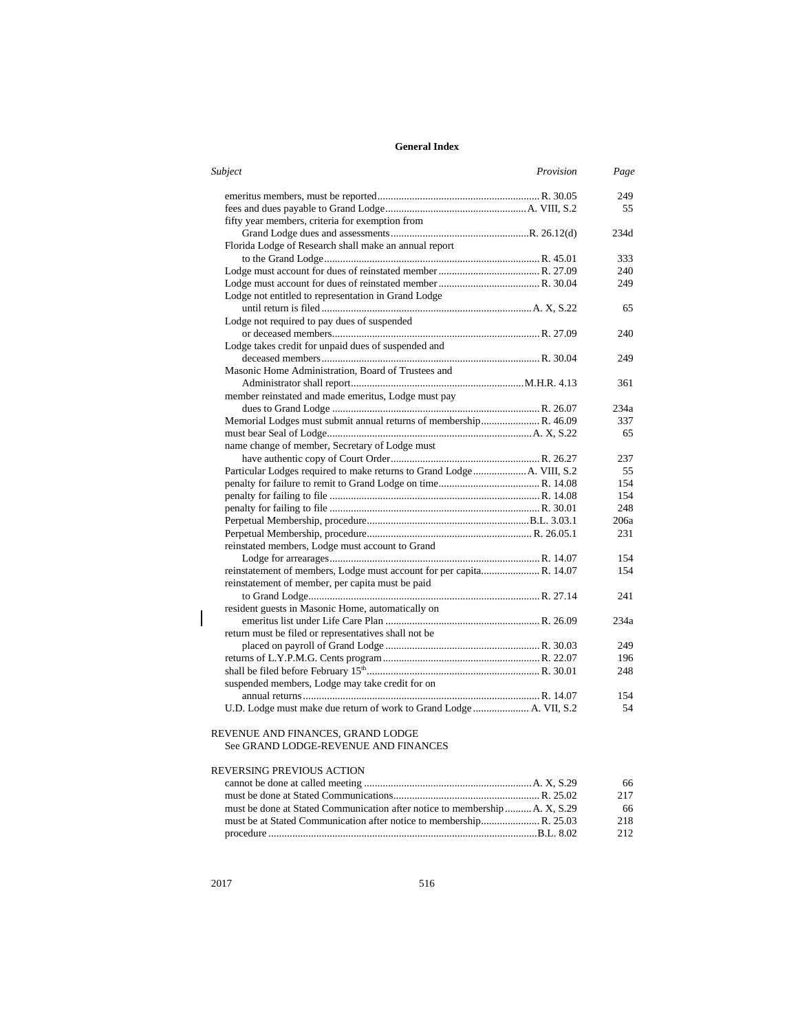| Subject<br>Provision                                                    | Page |
|-------------------------------------------------------------------------|------|
|                                                                         | 249  |
|                                                                         | 55   |
| fifty year members, criteria for exemption from                         |      |
|                                                                         | 234d |
| Florida Lodge of Research shall make an annual report                   |      |
|                                                                         | 333  |
|                                                                         | 240  |
|                                                                         | 249  |
| Lodge not entitled to representation in Grand Lodge                     |      |
|                                                                         | 65   |
| Lodge not required to pay dues of suspended                             |      |
|                                                                         | 240  |
| Lodge takes credit for unpaid dues of suspended and                     |      |
|                                                                         | 249  |
| Masonic Home Administration, Board of Trustees and                      |      |
|                                                                         | 361  |
| member reinstated and made emeritus, Lodge must pay                     |      |
|                                                                         | 234a |
| Memorial Lodges must submit annual returns of membership R. 46.09       | 337  |
|                                                                         | 65   |
| name change of member, Secretary of Lodge must                          |      |
|                                                                         | 237  |
| Particular Lodges required to make returns to Grand Lodge  A. VIII, S.2 | 55   |
|                                                                         | 154  |
|                                                                         | 154  |
|                                                                         | 248  |
|                                                                         | 206a |
|                                                                         | 231  |
| reinstated members, Lodge must account to Grand                         |      |
|                                                                         | 154  |
| reinstatement of members, Lodge must account for per capita R. 14.07    | 154  |
| reinstatement of member, per capita must be paid                        |      |
|                                                                         | 241  |
| resident guests in Masonic Home, automatically on                       |      |
|                                                                         | 234a |
| return must be filed or representatives shall not be                    |      |
|                                                                         | 249  |
|                                                                         | 196  |
|                                                                         | 248  |
| suspended members, Lodge may take credit for on                         |      |
|                                                                         | 154  |
| U.D. Lodge must make due return of work to Grand Lodge  A. VII, S.2     | 54   |
|                                                                         |      |

### REVENUE AND FINANCES, GRAND LODGE See GRAND LODGE-REVENUE AND FINANCES

# REVERSING PREVIOUS ACTION

|                                                                             | 66  |
|-----------------------------------------------------------------------------|-----|
|                                                                             | 217 |
| must be done at Stated Communication after notice to membership  A. X, S.29 | 66  |
|                                                                             | 218 |
|                                                                             | 212 |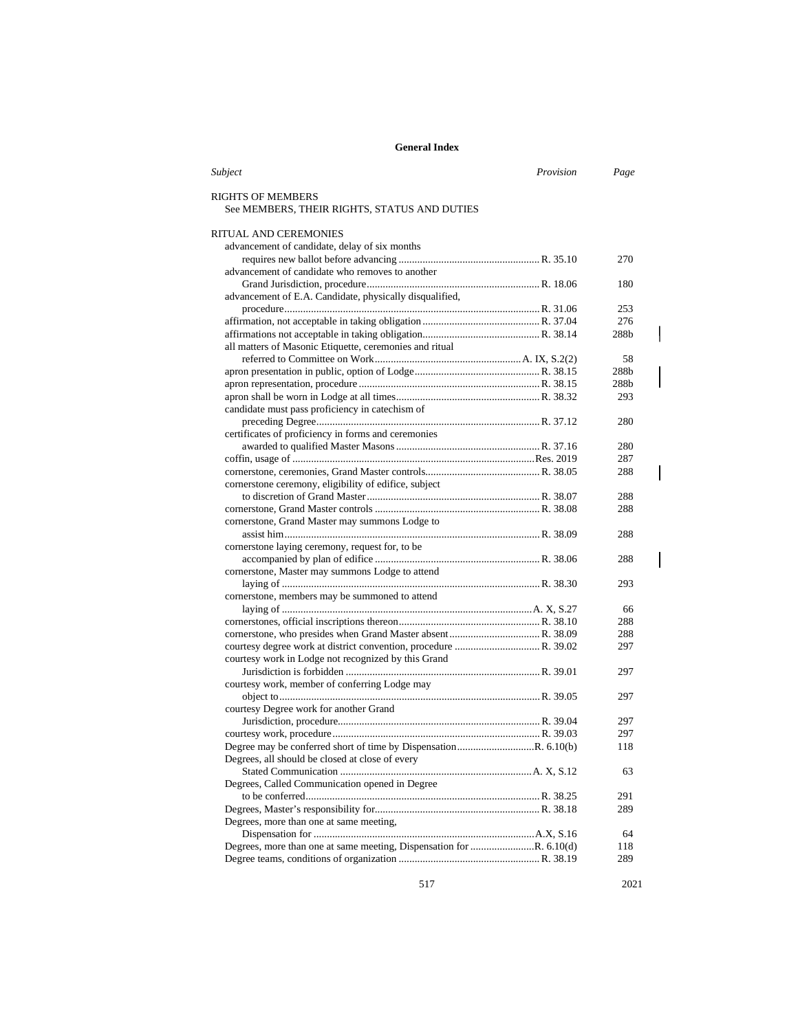| Subject                                                             | Provision | Page       |
|---------------------------------------------------------------------|-----------|------------|
| RIGHTS OF MEMBERS                                                   |           |            |
| See MEMBERS, THEIR RIGHTS, STATUS AND DUTIES                        |           |            |
| RITUAL AND CEREMONIES                                               |           |            |
| advancement of candidate, delay of six months                       |           |            |
|                                                                     |           | 270        |
| advancement of candidate who removes to another                     |           |            |
|                                                                     |           | 180        |
| advancement of E.A. Candidate, physically disqualified,             |           |            |
|                                                                     |           | 253        |
|                                                                     |           | 276        |
|                                                                     |           | 288b       |
| all matters of Masonic Etiquette, ceremonies and ritual             |           |            |
|                                                                     |           | 58         |
|                                                                     |           | 288b       |
|                                                                     |           | 288b       |
|                                                                     |           | 293        |
| candidate must pass proficiency in catechism of                     |           |            |
|                                                                     |           | 280        |
| certificates of proficiency in forms and ceremonies                 |           |            |
|                                                                     |           | 280        |
|                                                                     |           | 287        |
|                                                                     |           | 288        |
| cornerstone ceremony, eligibility of edifice, subject               |           |            |
|                                                                     |           | 288        |
|                                                                     |           | 288        |
| cornerstone, Grand Master may summons Lodge to                      |           |            |
|                                                                     |           | 288        |
| cornerstone laying ceremony, request for, to be                     |           |            |
|                                                                     |           | 288        |
| cornerstone, Master may summons Lodge to attend                     |           |            |
|                                                                     |           | 293        |
| cornerstone, members may be summoned to attend                      |           |            |
|                                                                     |           | 66         |
|                                                                     |           | 288        |
|                                                                     |           | 288        |
|                                                                     |           | 297        |
| courtesy work in Lodge not recognized by this Grand                 |           |            |
|                                                                     |           | 297        |
| courtesy work, member of conferring Lodge may                       |           |            |
|                                                                     |           | 297        |
| courtesy Degree work for another Grand                              |           |            |
|                                                                     |           | 297        |
|                                                                     |           | 297        |
|                                                                     |           | 118        |
| Degrees, all should be closed at close of every                     |           |            |
|                                                                     |           | 63         |
| Degrees, Called Communication opened in Degree                      |           |            |
|                                                                     |           | 291        |
|                                                                     |           | 289        |
| Degrees, more than one at same meeting,                             |           |            |
|                                                                     |           | 64         |
| Degrees, more than one at same meeting, Dispensation for R. 6.10(d) |           | 118<br>289 |
|                                                                     |           |            |

517 2021

 $\overline{\phantom{a}}$ 

 $\overline{\phantom{a}}$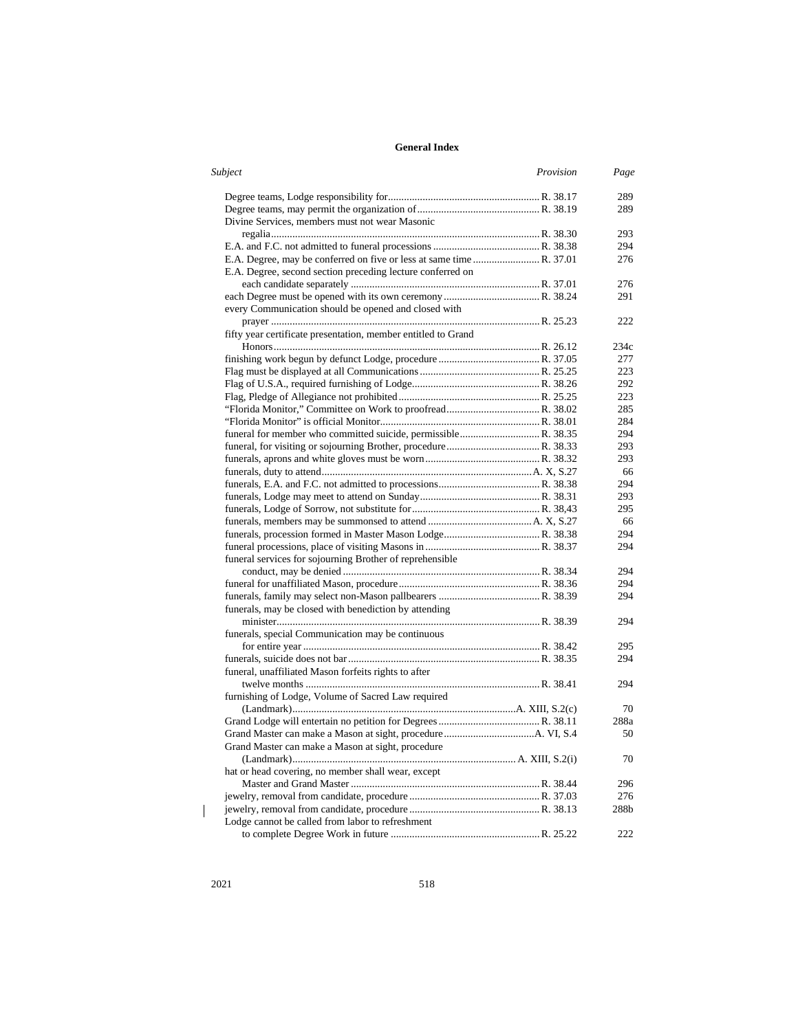| Subject<br>Provision                                          | Page |
|---------------------------------------------------------------|------|
|                                                               | 289  |
|                                                               | 289  |
| Divine Services, members must not wear Masonic                |      |
|                                                               | 293  |
|                                                               | 294  |
|                                                               | 276  |
| E.A. Degree, second section preceding lecture conferred on    |      |
|                                                               | 276  |
|                                                               | 291  |
| every Communication should be opened and closed with          |      |
|                                                               | 222  |
| fifty year certificate presentation, member entitled to Grand |      |
|                                                               | 234c |
|                                                               | 277  |
|                                                               | 223  |
|                                                               | 292  |
|                                                               | 223  |
|                                                               | 285  |
|                                                               | 284  |
|                                                               | 294  |
|                                                               | 293  |
|                                                               | 293  |
|                                                               | 66   |
|                                                               | 294  |
|                                                               | 293  |
|                                                               | 295  |
|                                                               | 66   |
|                                                               | 294  |
|                                                               | 294  |
| funeral services for sojourning Brother of reprehensible      |      |
|                                                               | 294  |
|                                                               | 294  |
|                                                               | 294  |
| funerals, may be closed with benediction by attending         |      |
|                                                               | 294  |
| funerals, special Communication may be continuous             |      |
|                                                               | 295  |
|                                                               | 294  |
| funeral, unaffiliated Mason forfeits rights to after          |      |
|                                                               | 294  |
| furnishing of Lodge, Volume of Sacred Law required            |      |
|                                                               | 70   |
|                                                               | 288a |
|                                                               | 50   |
| Grand Master can make a Mason at sight, procedure             |      |
|                                                               | 70   |
| hat or head covering, no member shall wear, except            |      |
|                                                               | 296  |
|                                                               | 276  |
|                                                               | 288b |
| Lodge cannot be called from labor to refreshment              |      |
|                                                               | 222  |
|                                                               |      |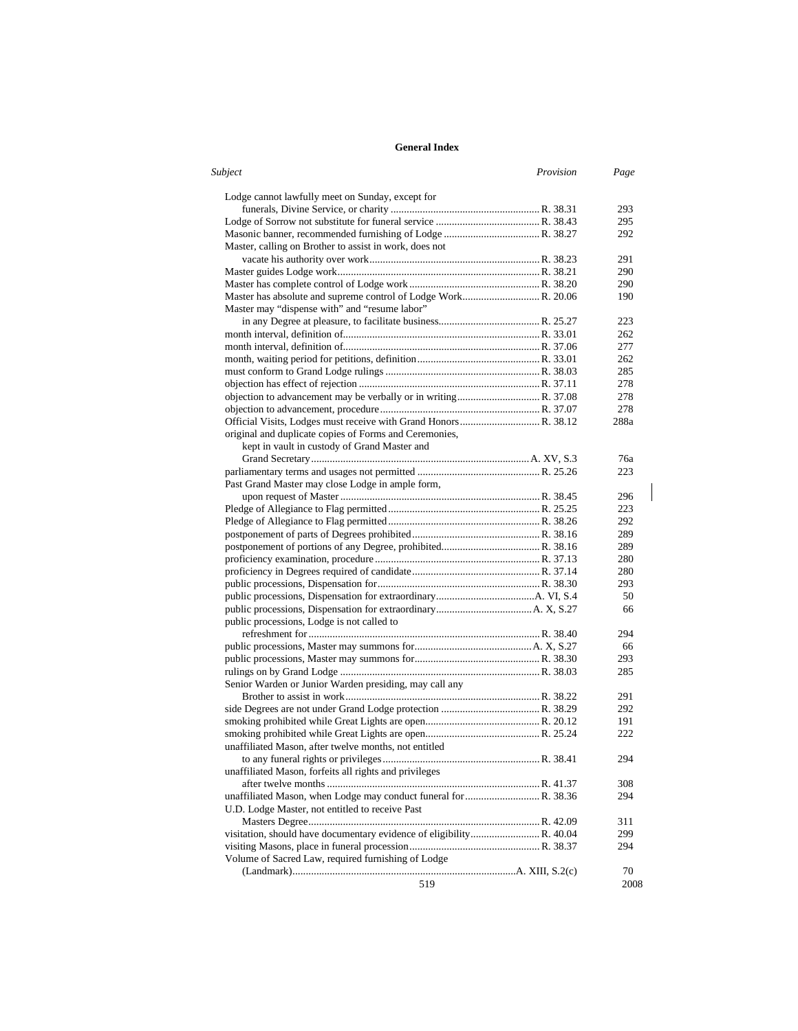| Subject<br>Provision                                                 | Page |
|----------------------------------------------------------------------|------|
| Lodge cannot lawfully meet on Sunday, except for                     |      |
|                                                                      | 293  |
|                                                                      | 295  |
| Master, calling on Brother to assist in work, does not               | 292  |
|                                                                      | 291  |
|                                                                      | 290  |
|                                                                      | 290  |
| Master may "dispense with" and "resume labor"                        | 190  |
|                                                                      | 223  |
|                                                                      | 262  |
|                                                                      | 277  |
|                                                                      | 262  |
|                                                                      | 285  |
|                                                                      | 278  |
|                                                                      | 278  |
|                                                                      | 278  |
|                                                                      | 288a |
| original and duplicate copies of Forms and Ceremonies,               |      |
| kept in vault in custody of Grand Master and                         |      |
|                                                                      | 76a  |
|                                                                      |      |
|                                                                      | 223  |
| Past Grand Master may close Lodge in ample form,                     |      |
|                                                                      | 296  |
|                                                                      | 223  |
|                                                                      | 292  |
|                                                                      | 289  |
|                                                                      | 289  |
|                                                                      | 280  |
|                                                                      | 280  |
|                                                                      | 293  |
|                                                                      | 50   |
| public processions, Lodge is not called to                           | 66   |
|                                                                      | 294  |
|                                                                      | 66   |
|                                                                      | 293  |
|                                                                      | 285  |
| Senior Warden or Junior Warden presiding, may call any               |      |
|                                                                      | 291  |
|                                                                      | 292  |
|                                                                      | 191  |
|                                                                      | 222  |
| unaffiliated Mason, after twelve months, not entitled                |      |
|                                                                      | 294  |
| unaffiliated Mason, forfeits all rights and privileges               |      |
|                                                                      | 308  |
|                                                                      | 294  |
| U.D. Lodge Master, not entitled to receive Past                      |      |
|                                                                      | 311  |
| visitation, should have documentary evidence of eligibility R. 40.04 | 299  |
|                                                                      | 294  |
| Volume of Sacred Law, required furnishing of Lodge                   |      |
|                                                                      | 70   |
| 519                                                                  | 2008 |

 $\begin{array}{c} \hline \end{array}$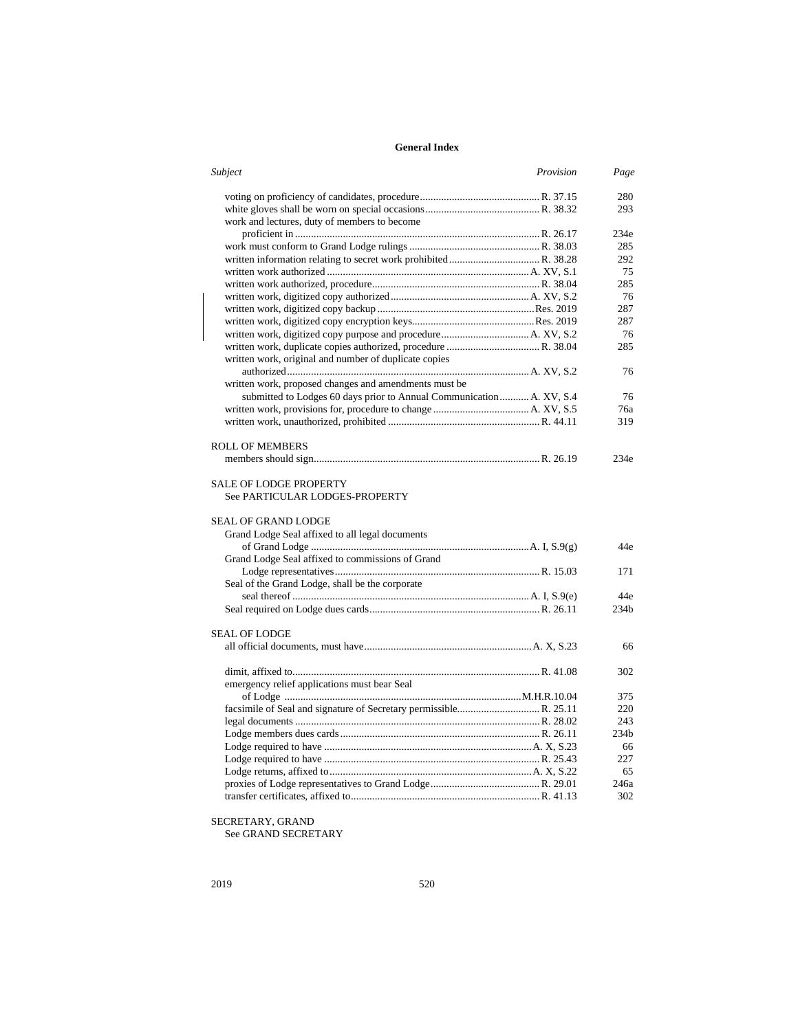| Subject<br>Provision                                                                          | Page             |
|-----------------------------------------------------------------------------------------------|------------------|
|                                                                                               | 280              |
|                                                                                               | 293              |
| work and lectures, duty of members to become                                                  |                  |
|                                                                                               | 234e             |
|                                                                                               | 285              |
|                                                                                               | 292              |
|                                                                                               | 75               |
|                                                                                               | 285              |
|                                                                                               | 76               |
|                                                                                               | 287              |
|                                                                                               | 287              |
|                                                                                               | 76               |
|                                                                                               | 285              |
| written work, original and number of duplicate copies                                         |                  |
|                                                                                               | 76               |
| written work, proposed changes and amendments must be                                         |                  |
| submitted to Lodges 60 days prior to Annual Communication A. XV, S.4                          | 76               |
|                                                                                               | 76a              |
|                                                                                               | 319              |
|                                                                                               |                  |
| <b>ROLL OF MEMBERS</b>                                                                        |                  |
|                                                                                               | 234e             |
| <b>SALE OF LODGE PROPERTY</b><br>See PARTICULAR LODGES-PROPERTY<br><b>SEAL OF GRAND LODGE</b> |                  |
| Grand Lodge Seal affixed to all legal documents                                               |                  |
|                                                                                               | 44e              |
| Grand Lodge Seal affixed to commissions of Grand                                              |                  |
|                                                                                               | 171              |
| Seal of the Grand Lodge, shall be the corporate                                               |                  |
|                                                                                               | 44e              |
|                                                                                               | 234 <sub>b</sub> |
|                                                                                               |                  |
| <b>SEAL OF LODGE</b>                                                                          |                  |
|                                                                                               | 66               |
|                                                                                               |                  |
|                                                                                               | 302              |
| emergency relief applications must bear Seal                                                  |                  |
|                                                                                               | 375              |
|                                                                                               | 220              |
|                                                                                               | 243              |
|                                                                                               | 234 <sub>b</sub> |
|                                                                                               | 66               |
|                                                                                               | 227              |
|                                                                                               | 65               |
|                                                                                               | 246a             |
|                                                                                               | 302              |

SECRETARY, GRAND

See GRAND SECRETARY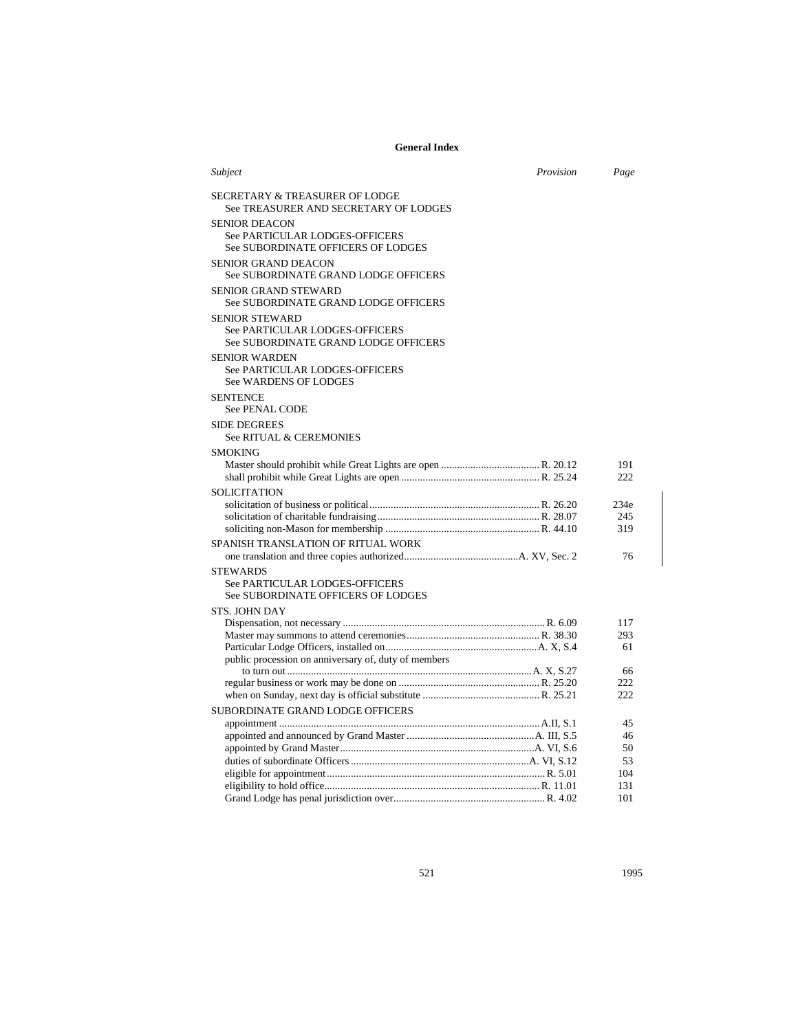| Subject                                                                                         | Provision | Page               |
|-------------------------------------------------------------------------------------------------|-----------|--------------------|
| <b>SECRETARY &amp; TREASURER OF LODGE</b><br>See TREASURER AND SECRETARY OF LODGES              |           |                    |
| <b>SENIOR DEACON</b><br>See PARTICULAR LODGES-OFFICERS<br>See SUBORDINATE OFFICERS OF LODGES    |           |                    |
| <b>SENIOR GRAND DEACON</b><br>See SUBORDINATE GRAND LODGE OFFICERS                              |           |                    |
| <b>SENIOR GRAND STEWARD</b><br>See SUBORDINATE GRAND LODGE OFFICERS                             |           |                    |
| <b>SENIOR STEWARD</b><br>See PARTICULAR LODGES-OFFICERS<br>See SUBORDINATE GRAND LODGE OFFICERS |           |                    |
| <b>SENIOR WARDEN</b><br>See PARTICULAR LODGES-OFFICERS<br>See WARDENS OF LODGES                 |           |                    |
| <b>SENTENCE</b><br><b>See PENAL CODE</b>                                                        |           |                    |
| <b>SIDE DEGREES</b><br>See RITUAL & CEREMONIES                                                  |           |                    |
| <b>SMOKING</b>                                                                                  |           |                    |
|                                                                                                 |           | 191<br>222         |
| SOLICITATION                                                                                    |           | 234e<br>245<br>319 |
| SPANISH TRANSLATION OF RITUAL WORK                                                              |           | 76                 |
| <b>STEWARDS</b><br>See PARTICULAR LODGES-OFFICERS<br>See SUBORDINATE OFFICERS OF LODGES         |           |                    |
| <b>STS. JOHN DAY</b>                                                                            |           |                    |
|                                                                                                 |           | 117                |
|                                                                                                 |           | 293                |
|                                                                                                 |           | 61                 |
| public procession on anniversary of, duty of members                                            |           | 66                 |
|                                                                                                 |           | 222                |
|                                                                                                 |           | 222                |
| <b>SUBORDINATE GRAND LODGE OFFICERS</b>                                                         |           |                    |
|                                                                                                 |           | 45                 |
|                                                                                                 |           | 46                 |
|                                                                                                 |           | 50                 |
|                                                                                                 |           | 53                 |
|                                                                                                 |           | 104                |
|                                                                                                 |           | 131                |
|                                                                                                 |           | 101                |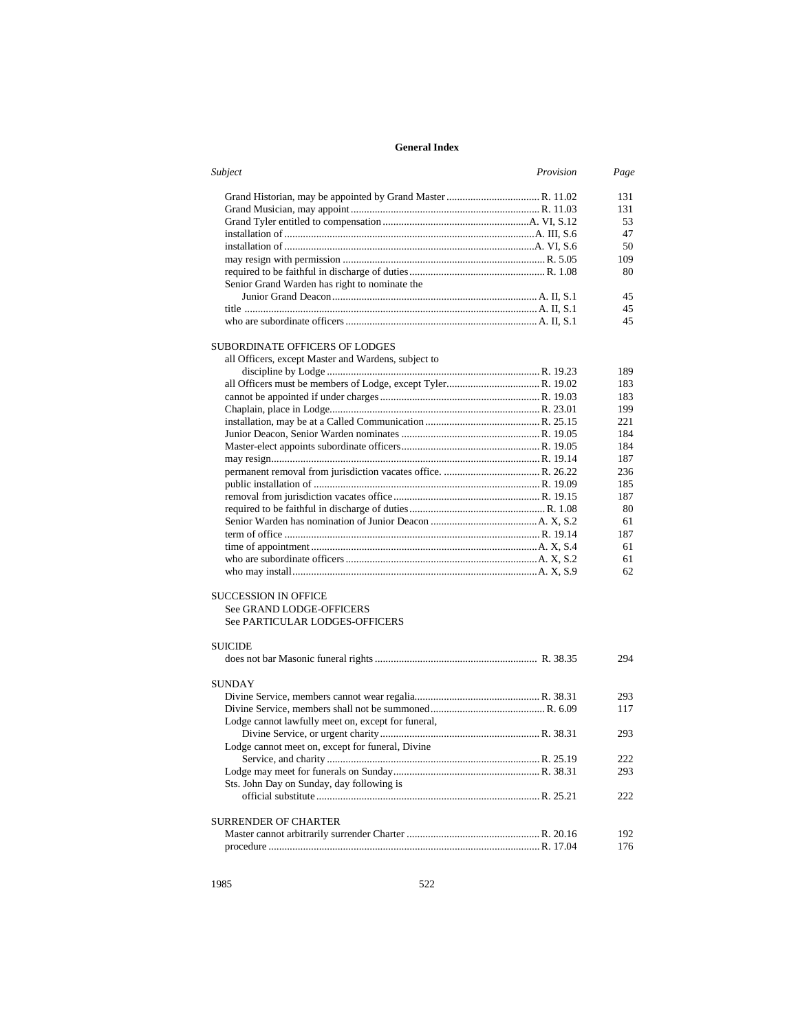| Subject                                             | Provision | Page |
|-----------------------------------------------------|-----------|------|
|                                                     |           | 131  |
|                                                     |           | 131  |
|                                                     |           | 53   |
|                                                     |           | 47   |
|                                                     |           | 50   |
|                                                     |           | 109  |
|                                                     |           | 80   |
| Senior Grand Warden has right to nominate the       |           |      |
|                                                     |           | 45   |
|                                                     |           | 45   |
|                                                     |           | 45   |
| SUBORDINATE OFFICERS OF LODGES                      |           |      |
| all Officers, except Master and Wardens, subject to |           |      |
|                                                     |           | 189  |
|                                                     |           | 183  |
|                                                     |           | 183  |
|                                                     |           | 199  |
|                                                     |           | 221  |
|                                                     |           | 184  |
|                                                     |           | 184  |
|                                                     |           | 187  |
|                                                     |           | 236  |
|                                                     |           | 185  |
|                                                     |           | 187  |
|                                                     |           | 80   |
|                                                     |           | 61   |
|                                                     |           | 187  |
|                                                     |           | 61   |
|                                                     |           | 61   |
|                                                     |           | 62   |
| SUCCESSION IN OFFICE                                |           |      |
| See GRAND LODGE-OFFICERS                            |           |      |
| See PARTICULAR LODGES-OFFICERS                      |           |      |
| SUICIDE                                             |           |      |
|                                                     |           | 294  |
| <b>SUNDAY</b>                                       |           |      |
|                                                     |           | 293  |
|                                                     |           | 117  |
| Lodge cannot lawfully meet on, except for funeral,  |           |      |
|                                                     |           | 293  |
|                                                     |           |      |
| Lodge cannot meet on, except for funeral, Divine    |           |      |
|                                                     |           | 222  |
|                                                     |           | 293  |
| Sts. John Day on Sunday, day following is           |           |      |
|                                                     |           | 222  |
| SURRENDER OF CHARTER                                |           |      |
|                                                     |           | 192  |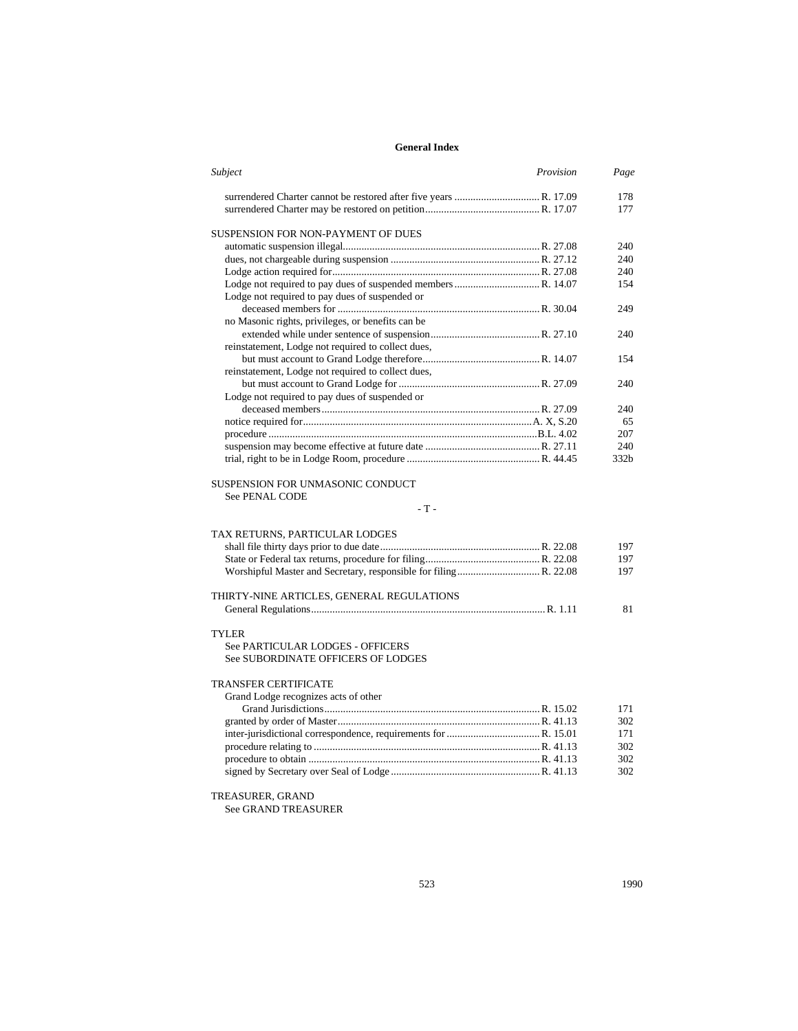| Subject<br>Provision                               | Page       |
|----------------------------------------------------|------------|
|                                                    | 178        |
|                                                    | 177        |
|                                                    |            |
| SUSPENSION FOR NON-PAYMENT OF DUES                 | 240        |
|                                                    | 240        |
|                                                    |            |
|                                                    | 240<br>154 |
| Lodge not required to pay dues of suspended or     |            |
|                                                    | 249        |
| no Masonic rights, privileges, or benefits can be  |            |
|                                                    | 240        |
| reinstatement, Lodge not required to collect dues, |            |
|                                                    | 154        |
| reinstatement, Lodge not required to collect dues, |            |
|                                                    | 240        |
| Lodge not required to pay dues of suspended or     |            |
|                                                    | 240        |
|                                                    | 65         |
|                                                    | 207        |
|                                                    | 240        |
|                                                    | 332b       |
|                                                    |            |
| SUSPENSION FOR UNMASONIC CONDUCT<br>See PENAL CODE |            |
| $-T -$                                             |            |
| TAX RETURNS, PARTICULAR LODGES                     |            |
|                                                    | 197        |
|                                                    | 197        |
|                                                    | 197        |
|                                                    |            |
| THIRTY-NINE ARTICLES, GENERAL REGULATIONS          |            |
|                                                    | 81         |
|                                                    |            |
| <b>TYLER</b>                                       |            |
| See PARTICULAR LODGES - OFFICERS                   |            |
| See SUBORDINATE OFFICERS OF LODGES                 |            |
| TRANSFER CERTIFICATE                               |            |
| Grand Lodge recognizes acts of other               |            |
|                                                    | 171        |
|                                                    | 302        |
|                                                    | 171        |
|                                                    | 302        |
|                                                    | 302        |
|                                                    | 302        |
|                                                    |            |
| TREASURER, GRAND                                   |            |

See GRAND TREASURER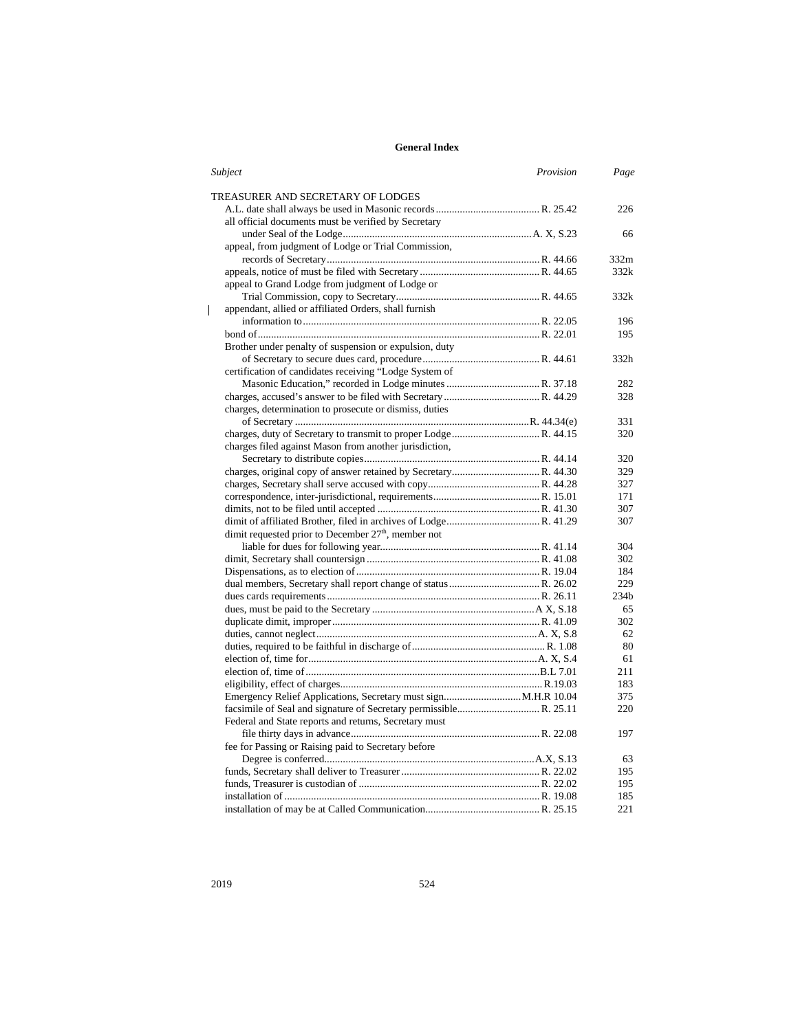| Subject                                                         | Provision | Page             |
|-----------------------------------------------------------------|-----------|------------------|
| TREASURER AND SECRETARY OF LODGES                               |           |                  |
|                                                                 |           | 226              |
| all official documents must be verified by Secretary            |           |                  |
|                                                                 |           | 66               |
| appeal, from judgment of Lodge or Trial Commission,             |           |                  |
|                                                                 |           | 332m             |
|                                                                 |           | 332k             |
| appeal to Grand Lodge from judgment of Lodge or                 |           |                  |
|                                                                 |           | 332k             |
| appendant, allied or affiliated Orders, shall furnish           |           |                  |
|                                                                 |           | 196              |
|                                                                 |           | 195              |
| Brother under penalty of suspension or expulsion, duty          |           |                  |
|                                                                 |           | 332h             |
| certification of candidates receiving "Lodge System of          |           |                  |
|                                                                 |           | 282              |
|                                                                 |           | 328              |
| charges, determination to prosecute or dismiss, duties          |           |                  |
|                                                                 |           | 331              |
|                                                                 |           | 320              |
| charges filed against Mason from another jurisdiction,          |           |                  |
|                                                                 |           | 320              |
|                                                                 |           | 329              |
|                                                                 |           | 327              |
|                                                                 |           | 171              |
|                                                                 |           | 307              |
|                                                                 |           | 307              |
| dimit requested prior to December 27 <sup>th</sup> , member not |           |                  |
|                                                                 |           | 304              |
|                                                                 |           | 302              |
|                                                                 |           | 184              |
|                                                                 |           | 229              |
|                                                                 |           | 234 <sub>b</sub> |
|                                                                 |           | 65               |
|                                                                 |           | 302              |
|                                                                 |           | 62               |
|                                                                 |           | 80               |
|                                                                 |           | 61               |
|                                                                 |           | 211              |
|                                                                 |           | 183              |
|                                                                 |           | 375              |
|                                                                 |           | 220              |
| Federal and State reports and returns, Secretary must           |           |                  |
|                                                                 |           | 197              |
| fee for Passing or Raising paid to Secretary before             |           |                  |
|                                                                 |           | 63               |
|                                                                 |           | 195              |
|                                                                 |           | 195              |
|                                                                 |           | 185              |
|                                                                 |           | 221              |

 $\mathbf I$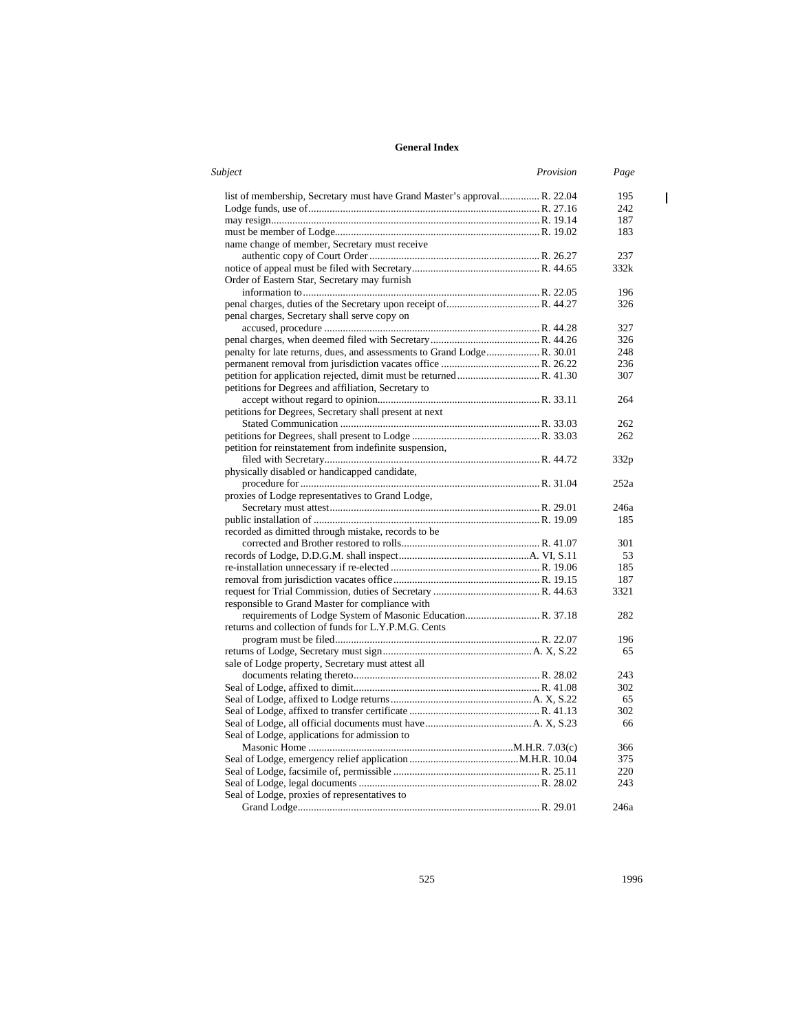| Subject                                                                  | Provision | Page             |
|--------------------------------------------------------------------------|-----------|------------------|
| list of membership, Secretary must have Grand Master's approval R. 22.04 |           | 195              |
|                                                                          |           | 242              |
|                                                                          |           | 187              |
|                                                                          |           | 183              |
| name change of member, Secretary must receive                            |           |                  |
|                                                                          |           | 237              |
|                                                                          |           | 332k             |
| Order of Eastern Star, Secretary may furnish                             |           |                  |
|                                                                          |           | 196              |
|                                                                          |           | 326              |
| penal charges, Secretary shall serve copy on                             |           |                  |
|                                                                          |           | 327              |
|                                                                          |           | 326              |
| penalty for late returns, dues, and assessments to Grand Lodge R. 30.01  |           | 248              |
|                                                                          |           | 236              |
|                                                                          |           | 307              |
| petitions for Degrees and affiliation, Secretary to                      |           |                  |
|                                                                          |           | 264              |
| petitions for Degrees, Secretary shall present at next                   |           |                  |
|                                                                          |           | 262              |
|                                                                          |           | 262              |
| petition for reinstatement from indefinite suspension,                   |           |                  |
|                                                                          |           | 332 <sub>p</sub> |
| physically disabled or handicapped candidate,                            |           |                  |
|                                                                          |           | 252a             |
| proxies of Lodge representatives to Grand Lodge,                         |           |                  |
|                                                                          |           | 246a             |
| recorded as dimitted through mistake, records to be                      |           | 185              |
|                                                                          |           | 301              |
|                                                                          |           | 53               |
|                                                                          |           | 185              |
|                                                                          |           | 187              |
|                                                                          |           | 3321             |
| responsible to Grand Master for compliance with                          |           |                  |
| requirements of Lodge System of Masonic Education R. 37.18               |           | 282              |
| returns and collection of funds for L.Y.P.M.G. Cents                     |           |                  |
|                                                                          |           | 196              |
|                                                                          |           | 65               |
| sale of Lodge property, Secretary must attest all                        |           |                  |
|                                                                          |           | 243              |
|                                                                          |           | 302              |
|                                                                          |           | 65               |
|                                                                          |           | 302              |
|                                                                          |           | 66               |
| Seal of Lodge, applications for admission to                             |           |                  |
|                                                                          |           | 366              |
|                                                                          |           | 375              |
|                                                                          |           | 220              |
|                                                                          |           | 243              |
| Seal of Lodge, proxies of representatives to                             |           |                  |
|                                                                          |           | 246a             |

 $\begin{array}{c} \hline \end{array}$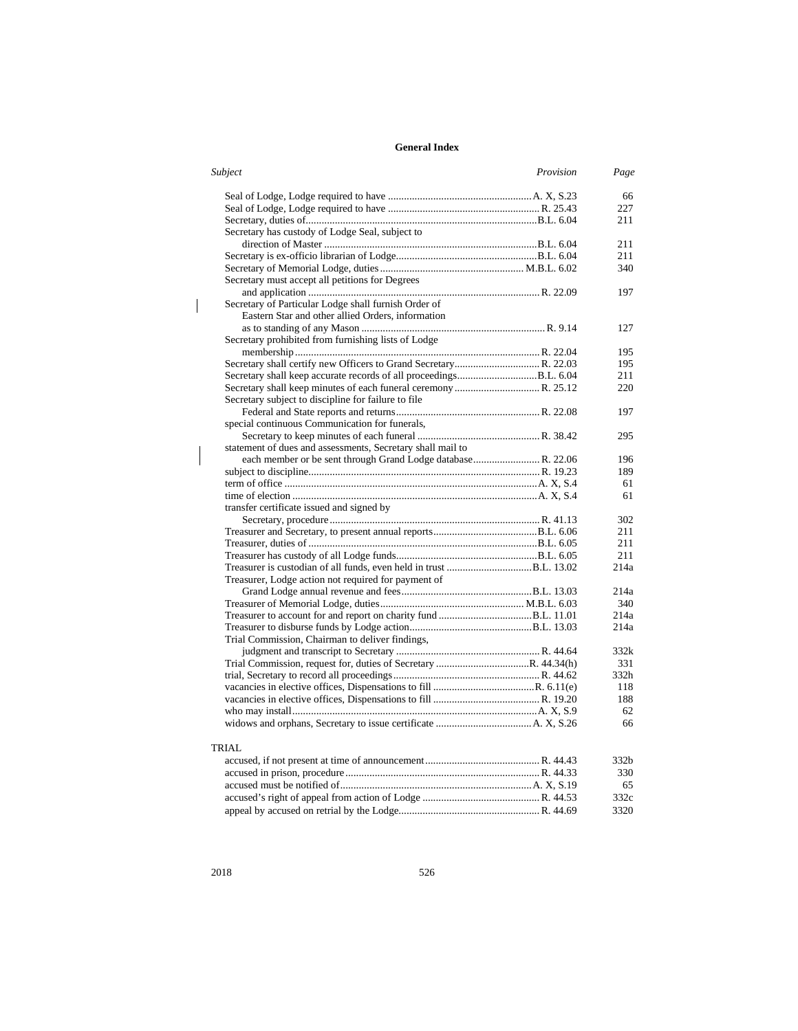| Subject<br>Provision                                         | Page |
|--------------------------------------------------------------|------|
|                                                              | 66   |
|                                                              | 227  |
|                                                              | 211  |
| Secretary has custody of Lodge Seal, subject to              |      |
|                                                              | 211  |
|                                                              | 211  |
|                                                              | 340  |
| Secretary must accept all petitions for Degrees              |      |
|                                                              | 197  |
| Secretary of Particular Lodge shall furnish Order of         |      |
| Eastern Star and other allied Orders, information            |      |
|                                                              | 127  |
| Secretary prohibited from furnishing lists of Lodge          |      |
|                                                              | 195  |
|                                                              | 195  |
|                                                              | 211  |
|                                                              | 220  |
| Secretary subject to discipline for failure to file          |      |
|                                                              | 197  |
| special continuous Communication for funerals,               |      |
|                                                              | 295  |
| statement of dues and assessments, Secretary shall mail to   |      |
| each member or be sent through Grand Lodge database R. 22.06 | 196  |
|                                                              | 189  |
|                                                              | 61   |
|                                                              | 61   |
| transfer certificate issued and signed by                    |      |
|                                                              | 302  |
|                                                              | 211  |
|                                                              | 211  |
|                                                              | 211  |
|                                                              | 214a |
| Treasurer, Lodge action not required for payment of          | 214a |
|                                                              | 340  |
|                                                              | 214a |
|                                                              | 214a |
| Trial Commission, Chairman to deliver findings,              |      |
|                                                              | 332k |
|                                                              | 331  |
|                                                              | 332h |
|                                                              | 118  |
|                                                              | 188  |
|                                                              | 62   |
|                                                              | 66   |
| TRIAL                                                        |      |
|                                                              | 332b |
|                                                              | 330  |
|                                                              | 65   |
|                                                              | 332c |
|                                                              | 3320 |
|                                                              |      |

 $\overline{\phantom{a}}$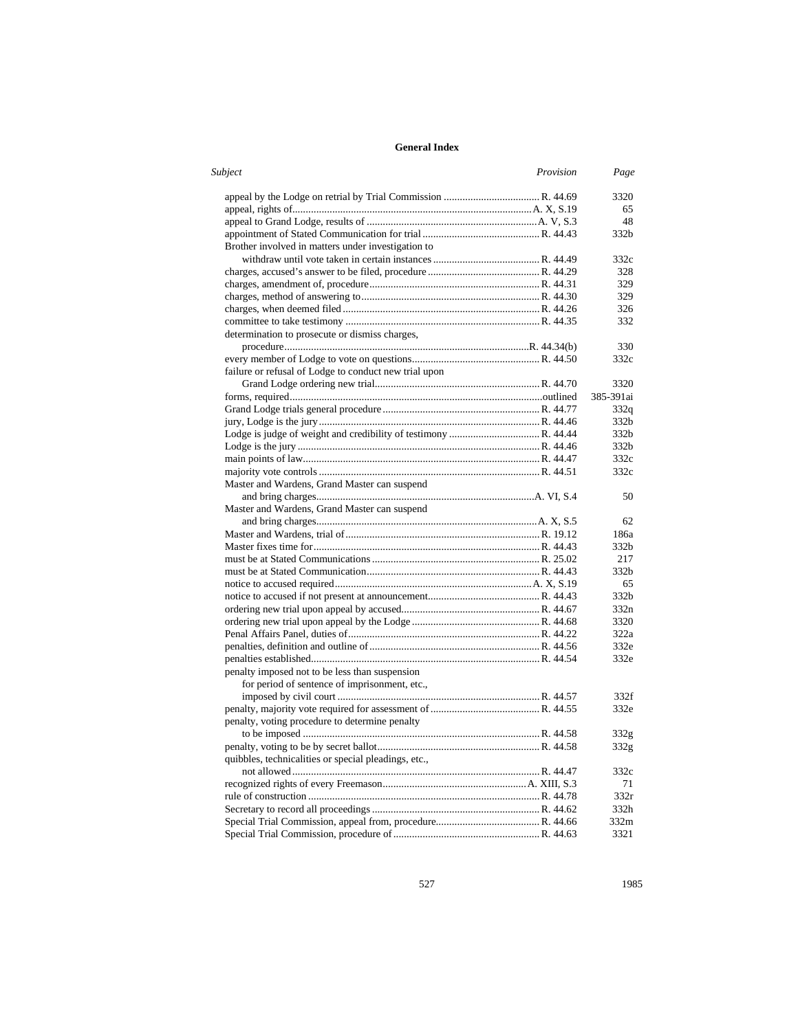| Subject                                               | Provision | Page             |
|-------------------------------------------------------|-----------|------------------|
|                                                       |           | 3320             |
|                                                       |           | 65               |
|                                                       |           | 48               |
|                                                       |           | 332b             |
| Brother involved in matters under investigation to    |           |                  |
|                                                       |           | 332c             |
|                                                       |           | 328              |
|                                                       |           | 329              |
|                                                       |           | 329              |
|                                                       |           | 326              |
|                                                       |           | 332              |
| determination to prosecute or dismiss charges,        |           |                  |
|                                                       |           | 330              |
|                                                       |           | 332c             |
| failure or refusal of Lodge to conduct new trial upon |           |                  |
|                                                       |           | 3320             |
|                                                       |           | 385-391ai        |
|                                                       |           | 332q             |
|                                                       |           | 332b             |
|                                                       |           | 332b             |
|                                                       |           | 332b             |
|                                                       |           | 332c             |
|                                                       |           | 332c             |
| Master and Wardens, Grand Master can suspend          |           |                  |
|                                                       |           | 50               |
| Master and Wardens, Grand Master can suspend          |           |                  |
|                                                       |           | 62               |
|                                                       |           | 186a             |
|                                                       |           | 332b             |
|                                                       |           | 217              |
|                                                       |           | 332b             |
|                                                       |           | 65               |
|                                                       |           | 332 <sub>b</sub> |
|                                                       |           | 332n             |
|                                                       |           | 3320             |
|                                                       |           | 322a             |
|                                                       |           | 332e             |
|                                                       |           | 332e             |
| penalty imposed not to be less than suspension        |           |                  |
| for period of sentence of imprisonment, etc.,         |           |                  |
|                                                       |           | 332f             |
|                                                       |           | 332e             |
| penalty, voting procedure to determine penalty        |           |                  |
|                                                       |           | 332g             |
|                                                       |           | 332g             |
| quibbles, technicalities or special pleadings, etc.,  |           |                  |
|                                                       |           | 332c             |
|                                                       |           | 71               |
|                                                       |           | 332r             |
|                                                       |           | 332h             |
|                                                       |           | 332m             |
|                                                       |           | 3321             |
|                                                       |           |                  |

527 1985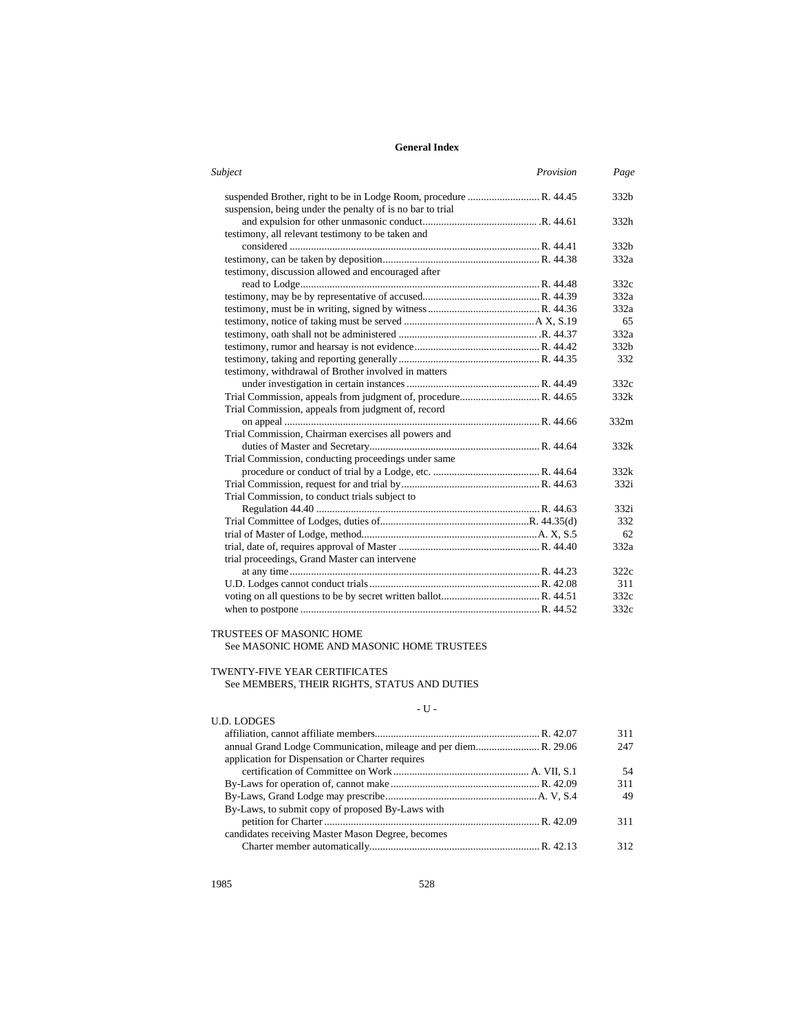| Subject                                                   | Provision | Page             |
|-----------------------------------------------------------|-----------|------------------|
|                                                           |           | 332b             |
| suspension, being under the penalty of is no bar to trial |           |                  |
|                                                           |           | 332h             |
| testimony, all relevant testimony to be taken and         |           |                  |
|                                                           |           | 332 <sub>b</sub> |
|                                                           |           | 332a             |
| testimony, discussion allowed and encouraged after        |           |                  |
|                                                           |           | 332c             |
|                                                           |           | 332a             |
|                                                           |           | 332a             |
|                                                           |           | 65               |
|                                                           |           | 332a             |
|                                                           |           | 332b             |
|                                                           |           | 332              |
| testimony, withdrawal of Brother involved in matters      |           |                  |
|                                                           |           | 332c             |
|                                                           |           | 332k             |
| Trial Commission, appeals from judgment of, record        |           |                  |
|                                                           |           | 332m             |
| Trial Commission, Chairman exercises all powers and       |           |                  |
|                                                           |           | 332k             |
| Trial Commission, conducting proceedings under same       |           |                  |
|                                                           |           | 332k             |
|                                                           |           | 332i             |
| Trial Commission, to conduct trials subject to            |           |                  |
|                                                           |           | 332i             |
|                                                           |           | 332              |
|                                                           |           | 62               |
|                                                           |           | 332a             |
| trial proceedings, Grand Master can intervene             |           |                  |
|                                                           |           | 322c             |
|                                                           |           | 311              |
|                                                           |           | 332c             |
|                                                           |           | 332c             |

# TRUSTEES OF MASONIC HOME

See MASONIC HOME AND MASONIC HOME TRUSTEES

# TWENTY-FIVE YEAR CERTIFICATES

See MEMBERS, THEIR RIGHTS, STATUS AND DUTIES

# - U -  $\,$

| 311  |
|------|
| 247  |
|      |
| 54   |
| 311  |
| 49   |
|      |
| 311  |
|      |
| 312. |
|      |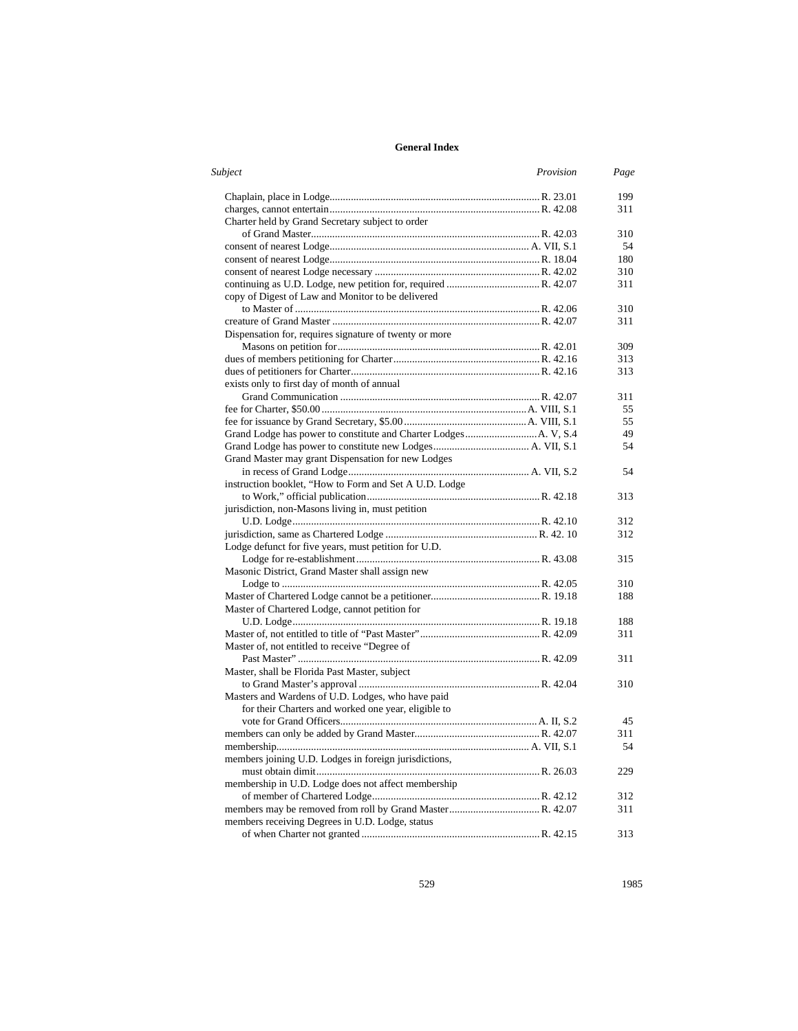| Subject                                                | Provision | Page |
|--------------------------------------------------------|-----------|------|
|                                                        |           | 199  |
|                                                        |           | 311  |
| Charter held by Grand Secretary subject to order       |           |      |
|                                                        |           | 310  |
|                                                        |           | 54   |
|                                                        |           | 180  |
|                                                        |           | 310  |
|                                                        |           | 311  |
| copy of Digest of Law and Monitor to be delivered      |           |      |
|                                                        |           | 310  |
|                                                        |           | 311  |
| Dispensation for, requires signature of twenty or more |           |      |
|                                                        |           | 309  |
|                                                        |           | 313  |
|                                                        |           | 313  |
| exists only to first day of month of annual            |           |      |
|                                                        |           | 311  |
|                                                        |           | 55   |
|                                                        |           | 55   |
|                                                        |           | 49   |
|                                                        |           | 54   |
| Grand Master may grant Dispensation for new Lodges     |           |      |
|                                                        |           | 54   |
| instruction booklet, "How to Form and Set A U.D. Lodge |           |      |
|                                                        |           | 313  |
| jurisdiction, non-Masons living in, must petition      |           |      |
|                                                        |           | 312  |
|                                                        |           | 312  |
| Lodge defunct for five years, must petition for U.D.   |           |      |
|                                                        |           | 315  |
| Masonic District, Grand Master shall assign new        |           |      |
|                                                        |           | 310  |
|                                                        |           | 188  |
| Master of Chartered Lodge, cannot petition for         |           |      |
|                                                        |           | 188  |
|                                                        |           | 311  |
| Master of, not entitled to receive "Degree of          |           |      |
|                                                        |           | 311  |
| Master, shall be Florida Past Master, subject          |           |      |
|                                                        |           | 310  |
| Masters and Wardens of U.D. Lodges, who have paid      |           |      |
| for their Charters and worked one year, eligible to    |           |      |
|                                                        |           | 45   |
|                                                        |           | 311  |
|                                                        |           | 54   |
| members joining U.D. Lodges in foreign jurisdictions,  |           |      |
|                                                        |           | 229  |
| membership in U.D. Lodge does not affect membership    |           |      |
|                                                        |           | 312  |
|                                                        |           | 311  |
| members receiving Degrees in U.D. Lodge, status        |           |      |
|                                                        |           | 313  |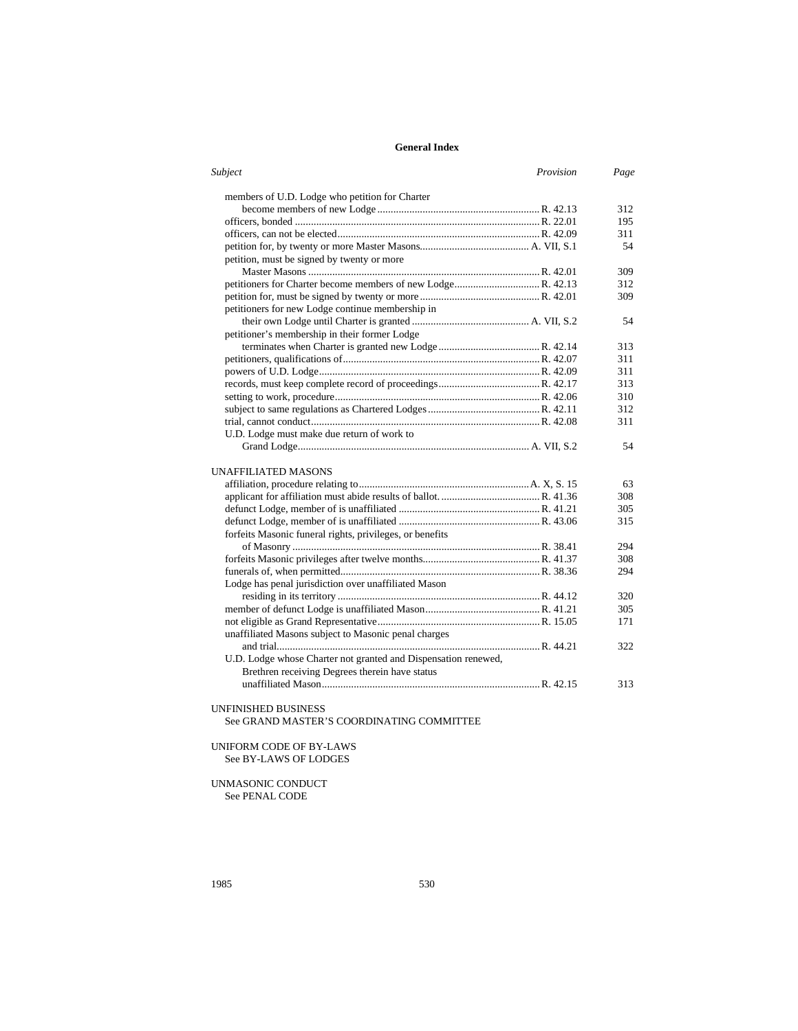| Subject<br>Provision                                           | Page |
|----------------------------------------------------------------|------|
| members of U.D. Lodge who petition for Charter                 |      |
|                                                                | 312  |
|                                                                | 195  |
|                                                                | 311  |
|                                                                | 54   |
| petition, must be signed by twenty or more                     |      |
|                                                                | 309  |
|                                                                | 312  |
|                                                                | 309  |
| petitioners for new Lodge continue membership in               |      |
|                                                                | 54   |
| petitioner's membership in their former Lodge                  |      |
|                                                                | 313  |
|                                                                | 311  |
|                                                                | 311  |
|                                                                | 313  |
|                                                                | 310  |
|                                                                | 312  |
|                                                                | 311  |
|                                                                |      |
| U.D. Lodge must make due return of work to                     |      |
|                                                                | 54   |
| UNAFFILIATED MASONS                                            |      |
|                                                                | 63   |
|                                                                | 308  |
|                                                                | 305  |
|                                                                | 315  |
| forfeits Masonic funeral rights, privileges, or benefits       |      |
|                                                                | 294  |
|                                                                | 308  |
|                                                                | 294  |
| Lodge has penal jurisdiction over unaffiliated Mason           |      |
|                                                                | 320  |
|                                                                | 305  |
|                                                                | 171  |
| unaffiliated Masons subject to Masonic penal charges           |      |
|                                                                | 322  |
| U.D. Lodge whose Charter not granted and Dispensation renewed, |      |
| Brethren receiving Degrees therein have status                 |      |
|                                                                | 313  |
|                                                                |      |

# UNFINISHED BUSINESS

See GRAND MASTER'S COORDINATING COMMITTEE

# UNIFORM CODE OF BY-LAWS See BY-LAWS OF LODGES

UNMASONIC CONDUCT See PENAL CODE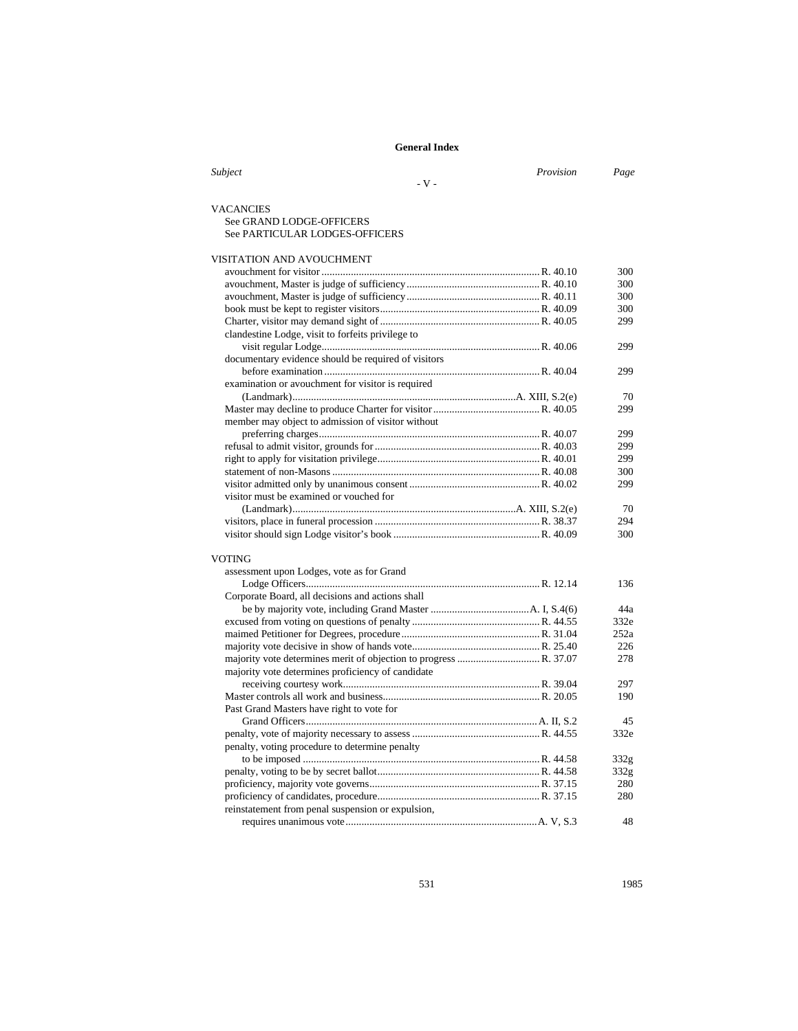| Subject                                             | Provision | Page        |
|-----------------------------------------------------|-----------|-------------|
| $-V -$                                              |           |             |
|                                                     |           |             |
| <b>VACANCIES</b>                                    |           |             |
| See GRAND LODGE-OFFICERS                            |           |             |
| See PARTICULAR LODGES-OFFICERS                      |           |             |
| VISITATION AND AVOUCHMENT                           |           |             |
|                                                     |           | 300         |
|                                                     |           | 300         |
|                                                     |           | 300         |
|                                                     |           | 300         |
|                                                     |           | 299         |
| clandestine Lodge, visit to forfeits privilege to   |           |             |
|                                                     |           | 299         |
| documentary evidence should be required of visitors |           |             |
|                                                     |           | 299         |
| examination or avouchment for visitor is required   |           |             |
|                                                     |           | 70          |
|                                                     |           | 299         |
| member may object to admission of visitor without   |           |             |
|                                                     |           | 299         |
|                                                     |           | 299         |
|                                                     |           | 299         |
|                                                     |           | 300         |
|                                                     |           | 299         |
| visitor must be examined or vouched for             |           |             |
|                                                     |           | 70          |
|                                                     |           | 294         |
|                                                     |           | 300         |
| <b>VOTING</b>                                       |           |             |
| assessment upon Lodges, vote as for Grand           |           |             |
|                                                     |           | 136         |
| Corporate Board, all decisions and actions shall    |           |             |
|                                                     |           | 44a         |
|                                                     |           | 332e        |
|                                                     |           | 252a        |
|                                                     |           | 226         |
|                                                     |           | 278         |
| majority vote determines proficiency of candidate   |           |             |
|                                                     |           | 297         |
|                                                     |           | 190         |
| Past Grand Masters have right to vote for           |           |             |
|                                                     |           | 45          |
|                                                     |           | 332e        |
| penalty, voting procedure to determine penalty      |           |             |
|                                                     |           |             |
|                                                     |           | 332g        |
|                                                     |           | 332g<br>280 |
|                                                     |           | 280         |
| reinstatement from penal suspension or expulsion,   |           |             |
|                                                     |           | 48          |
|                                                     |           |             |

531 1985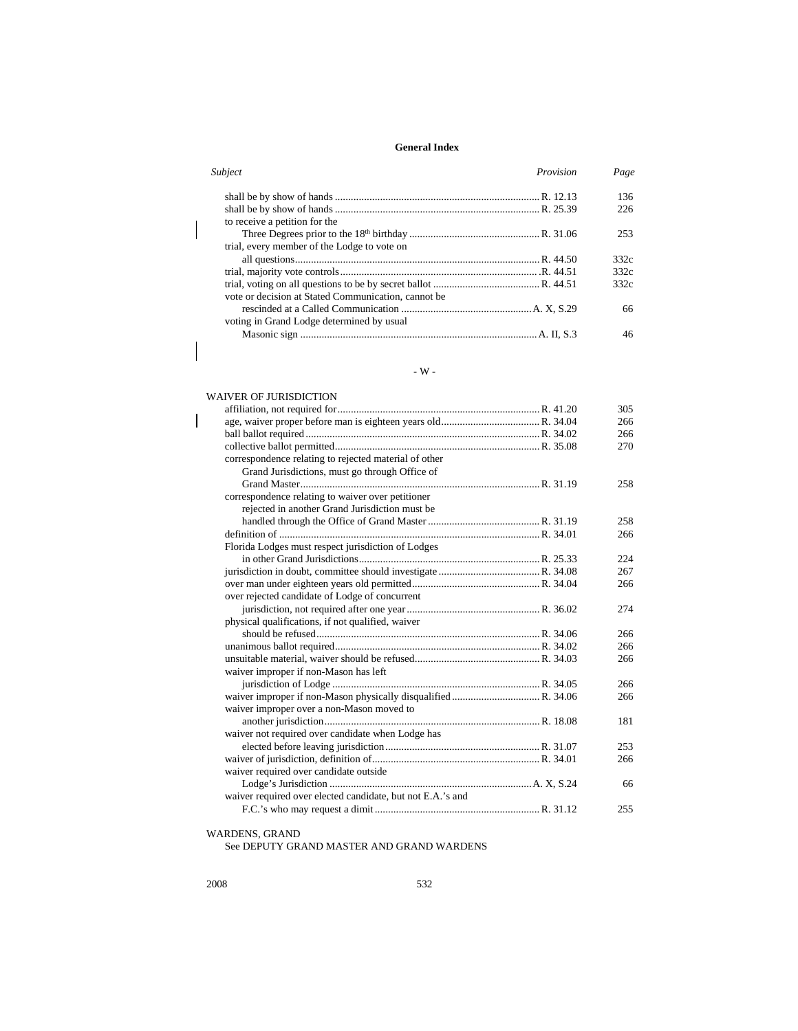| Subject<br>Provision                                | Page |
|-----------------------------------------------------|------|
|                                                     | 136  |
| to receive a petition for the                       | 226  |
| trial, every member of the Lodge to vote on         | 253  |
|                                                     | 332c |
|                                                     | 332c |
| vote or decision at Stated Communication, cannot be | 332c |
| voting in Grand Lodge determined by usual           | 66   |
|                                                     | 46   |

#### - W -

#### WAIVER OF JURISDICTION affiliation, not required for............................................................................R. 41.20 305 age, waiver proper before man is eighteen years old.....................................R. 34.04 266 ball ballot required ........................................................................................R. 34.02 266 collective ballot permitted.............................................................................R. 35.08 270 correspondence relating to rejected material of other Grand Jurisdictions, must go through Office of Grand Master..........................................................................................R. 31.19 258 correspondence relating to waiver over petitioner rejected in another Grand Jurisdiction must be handled through the Office of Grand Master..........................................R. 31.19 258 definition of ..................................................................................................R. 34.01 266 Florida Lodges must respect jurisdiction of Lodges in other Grand Jurisdictions....................................................................R. 25.33 224 jurisdiction in doubt, committee should investigate ......................................R. 34.08 267 over man under eighteen years old permitted................................................R. 34.04 266 over rejected candidate of Lodge of concurrent jurisdiction, not required after one year..................................................R. 36.02 274 physical qualifications, if not qualified, waiver should be refused....................................................................................R. 34.06 266 unanimous ballot required.............................................................................R. 34.02 266 unsuitable material, waiver should be refused...............................................R. 34.03 266 waiver improper if non-Mason has left jurisdiction of Lodge ..............................................................................R. 34.05 266 waiver improper if non-Mason physically disqualified .................................R. 34.06 266 waiver improper over a non-Mason moved to another jurisdiction.................................................................................R. 18.08 181 waiver not required over candidate when Lodge has elected before leaving jurisdiction..........................................................R. 31.07 253 waiver of jurisdiction, definition of...............................................................R. 34.01 266 waiver required over candidate outside Lodge's Jurisdiction ............................................................................A. X, S.24 66 waiver required over elected candidate, but not E.A.'s and F.C.'s who may request a dimit..............................................................R. 31.12 255

WARDENS, GRAND

See DEPUTY GRAND MASTER AND GRAND WARDENS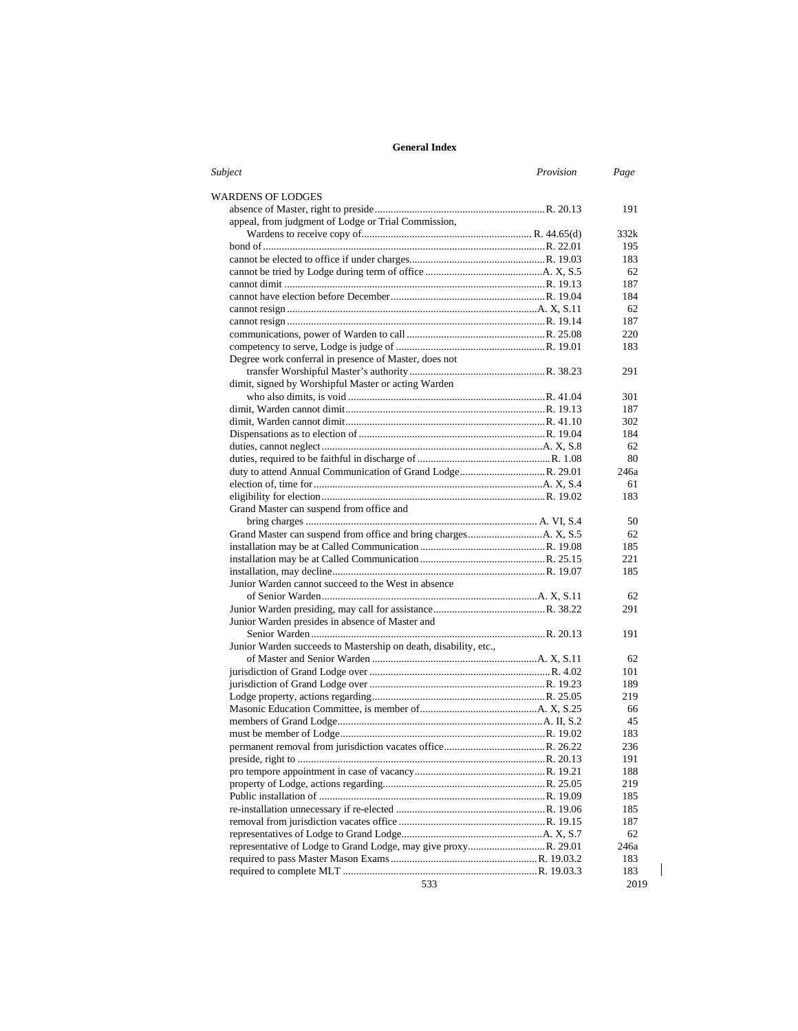| Subject                                                          | Provision | Page |
|------------------------------------------------------------------|-----------|------|
| WARDENS OF LODGES                                                |           |      |
|                                                                  |           | 191  |
| appeal, from judgment of Lodge or Trial Commission,              |           |      |
|                                                                  |           | 332k |
|                                                                  |           | 195  |
|                                                                  |           | 183  |
|                                                                  |           | 62   |
|                                                                  |           | 187  |
|                                                                  |           | 184  |
|                                                                  |           | 62   |
|                                                                  |           | 187  |
|                                                                  |           | 220  |
|                                                                  |           | 183  |
| Degree work conferral in presence of Master, does not            |           |      |
|                                                                  |           | 291  |
| dimit, signed by Worshipful Master or acting Warden              |           |      |
|                                                                  |           | 301  |
|                                                                  |           | 187  |
|                                                                  |           | 302  |
|                                                                  |           | 184  |
|                                                                  |           | 62   |
|                                                                  |           | 80   |
|                                                                  |           | 246a |
|                                                                  |           | 61   |
|                                                                  |           | 183  |
| Grand Master can suspend from office and                         |           |      |
|                                                                  |           | 50   |
|                                                                  |           | 62   |
|                                                                  |           | 185  |
|                                                                  |           | 221  |
|                                                                  |           | 185  |
| Junior Warden cannot succeed to the West in absence              |           |      |
|                                                                  |           | 62   |
|                                                                  |           | 291  |
| Junior Warden presides in absence of Master and                  |           |      |
|                                                                  |           | 191  |
| Junior Warden succeeds to Mastership on death, disability, etc., |           |      |
|                                                                  |           | 62   |
|                                                                  |           | 101  |
|                                                                  |           | 189  |
|                                                                  |           | 219  |
|                                                                  |           | 66   |
|                                                                  |           | 45   |
|                                                                  |           | 183  |
|                                                                  |           | 236  |
|                                                                  |           | 191  |
|                                                                  |           | 188  |
|                                                                  |           | 219  |
|                                                                  |           | 185  |
|                                                                  |           | 185  |
|                                                                  |           | 187  |
|                                                                  |           | 62   |
|                                                                  |           | 246a |
|                                                                  |           | 183  |
|                                                                  |           | 183  |
| 533                                                              |           | 2019 |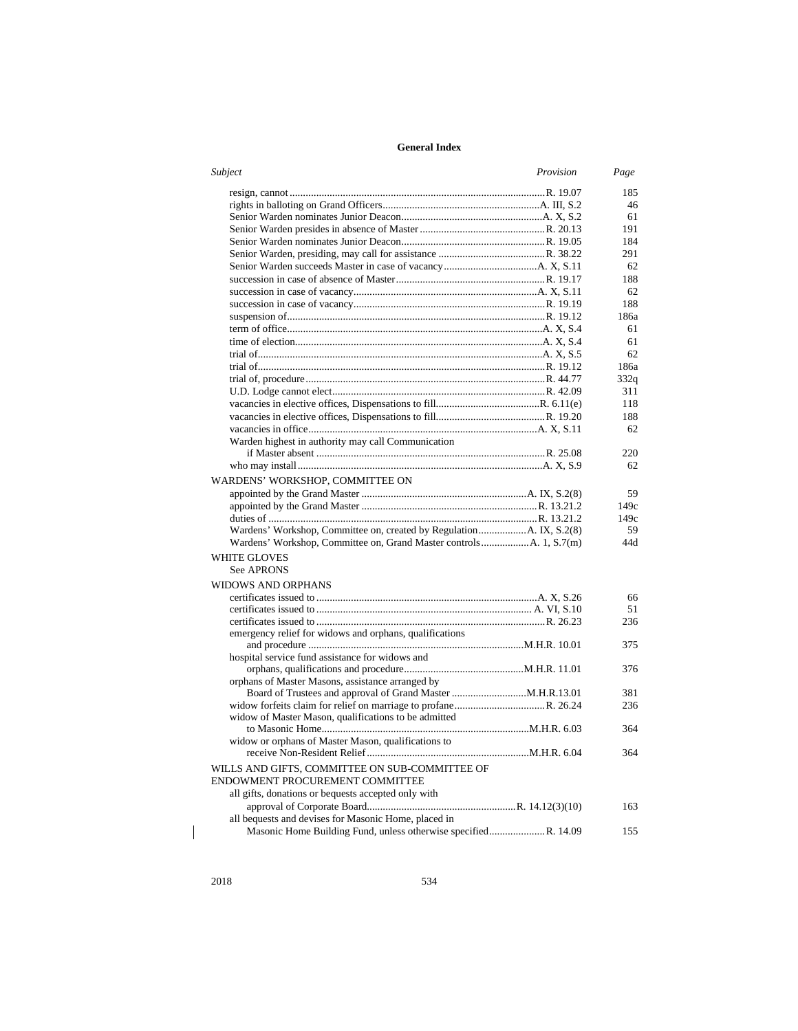| Subject                                                             | Provision | Page      |
|---------------------------------------------------------------------|-----------|-----------|
|                                                                     |           | 185       |
|                                                                     |           | 46        |
|                                                                     |           | 61        |
|                                                                     |           | 191       |
|                                                                     |           | 184       |
|                                                                     |           | 291       |
|                                                                     |           | 62        |
|                                                                     |           | 188       |
|                                                                     |           | 62        |
|                                                                     |           | 188       |
|                                                                     |           | 186a      |
|                                                                     |           | 61        |
|                                                                     |           | 61        |
|                                                                     |           | 62        |
|                                                                     |           | 186a      |
|                                                                     |           | 332q      |
|                                                                     |           | 311       |
|                                                                     |           | 118       |
|                                                                     |           | 188       |
|                                                                     |           | 62        |
| Warden highest in authority may call Communication                  |           |           |
|                                                                     |           | 220       |
|                                                                     |           | 62        |
|                                                                     |           |           |
| WARDENS' WORKSHOP, COMMITTEE ON                                     |           |           |
|                                                                     |           | 59        |
|                                                                     |           | 149c      |
|                                                                     |           | 149c      |
| Wardens' Workshop, Committee on, created by RegulationA. IX, S.2(8) |           | 59<br>44d |
|                                                                     |           |           |
| WHITE GLOVES                                                        |           |           |
| See APRONS                                                          |           |           |
| WIDOWS AND ORPHANS                                                  |           |           |
|                                                                     |           | 66        |
|                                                                     |           | 51        |
|                                                                     |           | 236       |
| emergency relief for widows and orphans, qualifications             |           |           |
|                                                                     |           | 375       |
| hospital service fund assistance for widows and                     |           |           |
|                                                                     |           | 376       |
| orphans of Master Masons, assistance arranged by                    |           |           |
|                                                                     |           | 381       |
|                                                                     |           | 236       |
| widow of Master Mason, qualifications to be admitted                |           |           |
|                                                                     |           | 364       |
| widow or orphans of Master Mason, qualifications to                 |           |           |
|                                                                     |           | 364       |
| WILLS AND GIFTS, COMMITTEE ON SUB-COMMITTEE OF                      |           |           |
| ENDOWMENT PROCUREMENT COMMITTEE                                     |           |           |
| all gifts, donations or bequests accepted only with                 |           |           |
|                                                                     |           | 163       |
| all bequests and devises for Masonic Home, placed in                |           |           |
|                                                                     |           | 155       |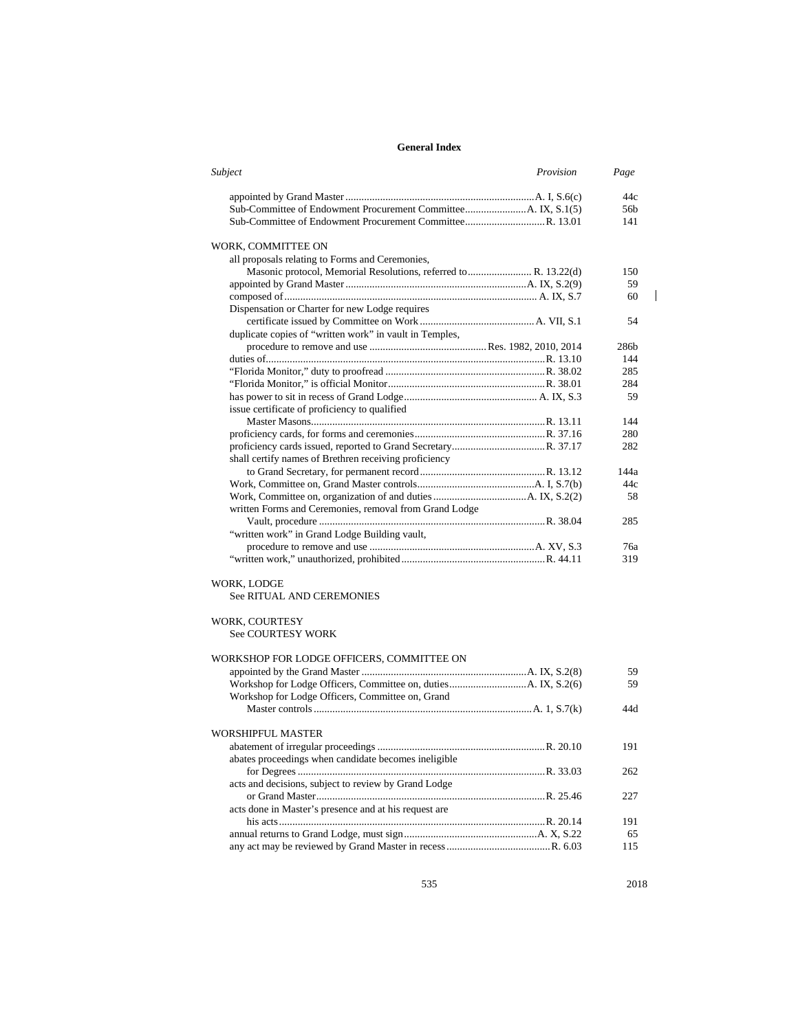| Subject                                                         | Provision | Page |
|-----------------------------------------------------------------|-----------|------|
|                                                                 |           | 44c  |
|                                                                 |           | 56b  |
|                                                                 |           | 141  |
| WORK, COMMITTEE ON                                              |           |      |
| all proposals relating to Forms and Ceremonies,                 |           |      |
| Masonic protocol, Memorial Resolutions, referred to R. 13.22(d) |           | 150  |
|                                                                 |           | 59   |
|                                                                 |           | 60   |
| Dispensation or Charter for new Lodge requires                  |           |      |
|                                                                 |           | 54   |
| duplicate copies of "written work" in vault in Temples,         |           |      |
|                                                                 |           | 286b |
|                                                                 |           | 144  |
|                                                                 |           | 285  |
|                                                                 |           | 284  |
|                                                                 |           | 59   |
| issue certificate of proficiency to qualified                   |           |      |
|                                                                 |           | 144  |
|                                                                 |           | 280  |
|                                                                 |           | 282  |
| shall certify names of Brethren receiving proficiency           |           |      |
|                                                                 |           | 144a |
|                                                                 |           | 44c  |
|                                                                 |           | 58   |
| written Forms and Ceremonies, removal from Grand Lodge          |           |      |
|                                                                 |           | 285  |
| "written work" in Grand Lodge Building vault,                   |           |      |
|                                                                 |           | 76a  |
|                                                                 |           | 319  |
|                                                                 |           |      |
| WORK, LODGE                                                     |           |      |
| <b>See RITUAL AND CEREMONIES</b>                                |           |      |
| WORK, COURTESY                                                  |           |      |
| <b>See COURTESY WORK</b>                                        |           |      |
| WORKSHOP FOR LODGE OFFICERS, COMMITTEE ON                       |           |      |
|                                                                 |           | 59   |
|                                                                 |           | 59   |
| Workshop for Lodge Officers, Committee on, Grand                |           |      |
|                                                                 |           | 44d  |
| WORSHIPFUL MASTER                                               |           |      |
|                                                                 |           | 191  |
| abates proceedings when candidate becomes ineligible            |           |      |
|                                                                 |           | 262  |
| acts and decisions, subject to review by Grand Lodge            |           |      |
|                                                                 |           | 227  |
| acts done in Master's presence and at his request are           |           |      |
|                                                                 |           | 191  |
|                                                                 |           | 65   |
|                                                                 |           | 115  |
|                                                                 |           |      |

535 2018

 $\begin{array}{c} \begin{array}{c} \hline \end{array} \end{array}$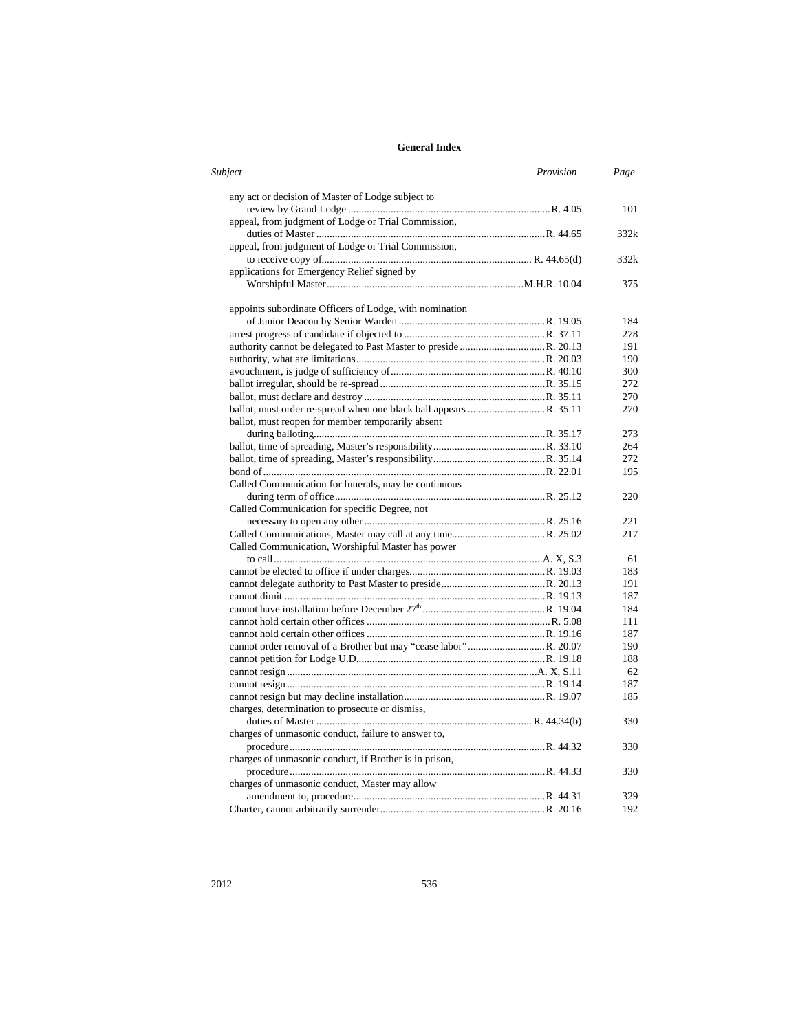| Subject                                                 | Provision | Page |
|---------------------------------------------------------|-----------|------|
| any act or decision of Master of Lodge subject to       |           |      |
|                                                         |           | 101  |
| appeal, from judgment of Lodge or Trial Commission,     |           |      |
|                                                         |           | 332k |
| appeal, from judgment of Lodge or Trial Commission,     |           |      |
|                                                         |           | 332k |
| applications for Emergency Relief signed by             |           |      |
|                                                         |           | 375  |
|                                                         |           |      |
| appoints subordinate Officers of Lodge, with nomination |           |      |
|                                                         |           | 184  |
|                                                         |           | 278  |
|                                                         |           | 191  |
|                                                         |           | 190  |
|                                                         |           | 300  |
|                                                         |           | 272  |
|                                                         |           | 270  |
|                                                         |           | 270  |
| ballot, must reopen for member temporarily absent       |           |      |
|                                                         |           | 273  |
|                                                         |           | 264  |
|                                                         |           | 272  |
|                                                         |           | 195  |
| Called Communication for funerals, may be continuous    |           |      |
|                                                         |           | 220  |
| Called Communication for specific Degree, not           |           |      |
|                                                         |           | 221  |
|                                                         |           | 217  |
| Called Communication, Worshipful Master has power       |           |      |
|                                                         |           | 61   |
|                                                         |           | 183  |
|                                                         |           | 191  |
|                                                         |           | 187  |
|                                                         |           | 184  |
|                                                         |           | 111  |
|                                                         |           | 187  |
|                                                         |           | 190  |
|                                                         |           | 188  |
|                                                         |           | 62   |
|                                                         |           | 187  |
|                                                         |           | 185  |
| charges, determination to prosecute or dismiss,         |           |      |
|                                                         |           | 330  |
| charges of unmasonic conduct, failure to answer to,     |           |      |
|                                                         |           | 330  |
| charges of unmasonic conduct, if Brother is in prison,  |           |      |
|                                                         |           |      |
|                                                         |           | 330  |
| charges of unmasonic conduct, Master may allow          |           |      |
|                                                         |           | 329  |
|                                                         |           | 192  |

 $\begin{array}{c} \hline \end{array}$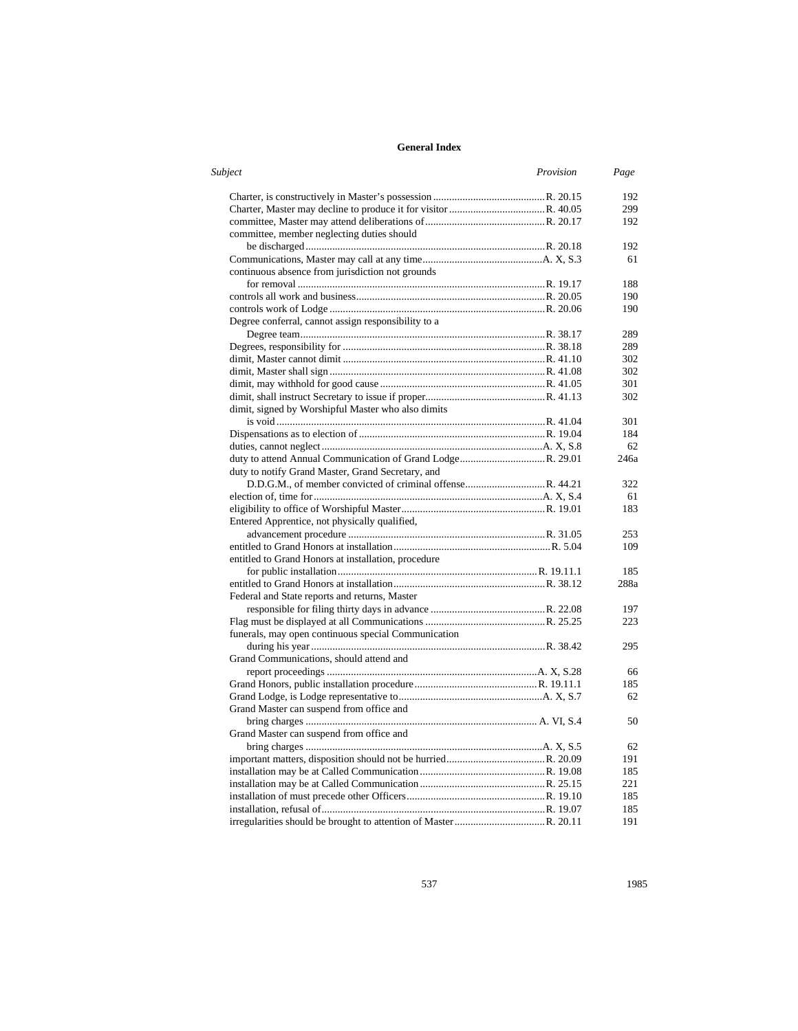| Subject                                             | Provision | Page |
|-----------------------------------------------------|-----------|------|
|                                                     |           | 192  |
|                                                     |           | 299  |
|                                                     |           | 192  |
| committee, member neglecting duties should          |           |      |
|                                                     |           | 192  |
|                                                     |           | 61   |
| continuous absence from jurisdiction not grounds    |           |      |
|                                                     |           | 188  |
|                                                     |           | 190  |
|                                                     |           | 190  |
| Degree conferral, cannot assign responsibility to a |           |      |
|                                                     |           | 289  |
|                                                     |           | 289  |
|                                                     |           | 302  |
|                                                     |           | 302  |
|                                                     |           | 301  |
|                                                     |           | 302  |
| dimit, signed by Worshipful Master who also dimits  |           |      |
|                                                     |           | 301  |
|                                                     |           | 184  |
|                                                     |           | 62   |
|                                                     |           | 246a |
| duty to notify Grand Master, Grand Secretary, and   |           |      |
|                                                     |           | 322  |
|                                                     |           | 61   |
|                                                     |           | 183  |
| Entered Apprentice, not physically qualified,       |           |      |
|                                                     |           | 253  |
|                                                     |           | 109  |
| entitled to Grand Honors at installation, procedure |           |      |
|                                                     |           | 185  |
|                                                     |           | 288a |
| Federal and State reports and returns, Master       |           |      |
|                                                     |           | 197  |
|                                                     |           | 223  |
| funerals, may open continuous special Communication |           |      |
|                                                     |           | 295  |
| Grand Communications, should attend and             |           |      |
|                                                     |           | 66   |
|                                                     |           | 185  |
|                                                     |           | 62   |
| Grand Master can suspend from office and            |           |      |
|                                                     |           | 50   |
| Grand Master can suspend from office and            |           |      |
|                                                     |           | 62   |
|                                                     |           | 191  |
|                                                     |           | 185  |
|                                                     |           | 221  |
|                                                     |           | 185  |
|                                                     |           | 185  |
|                                                     |           |      |
|                                                     |           | 191  |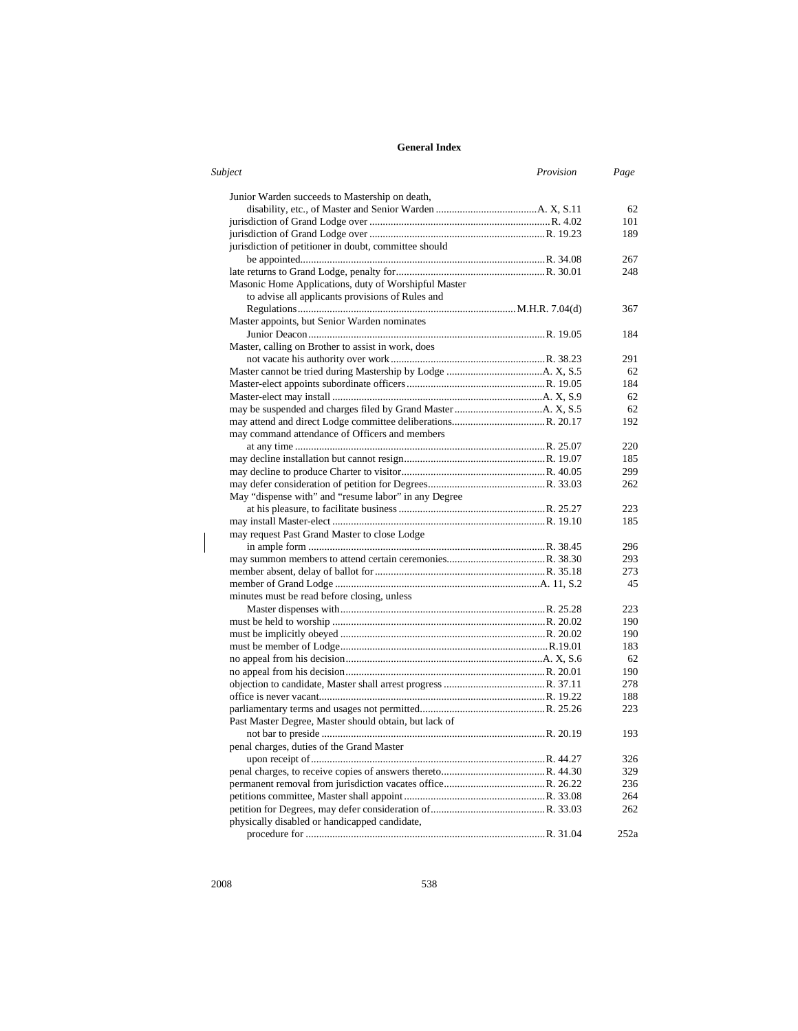| Subject                                               | Provision | Page |
|-------------------------------------------------------|-----------|------|
| Junior Warden succeeds to Mastership on death,        |           |      |
|                                                       |           | 62   |
|                                                       |           | 101  |
|                                                       |           | 189  |
| jurisdiction of petitioner in doubt, committee should |           |      |
|                                                       |           | 267  |
|                                                       |           | 248  |
| Masonic Home Applications, duty of Worshipful Master  |           |      |
| to advise all applicants provisions of Rules and      |           |      |
|                                                       |           | 367  |
| Master appoints, but Senior Warden nominates          |           |      |
|                                                       |           | 184  |
| Master, calling on Brother to assist in work, does    |           |      |
|                                                       |           | 291  |
|                                                       |           | 62   |
|                                                       |           | 184  |
|                                                       |           | 62   |
|                                                       |           | 62   |
|                                                       |           | 192  |
| may command attendance of Officers and members        |           |      |
|                                                       |           | 220  |
|                                                       |           | 185  |
|                                                       |           | 299  |
|                                                       |           | 262  |
| May "dispense with" and "resume labor" in any Degree  |           |      |
|                                                       |           | 223  |
|                                                       |           | 185  |
|                                                       |           |      |
| may request Past Grand Master to close Lodge          |           |      |
|                                                       |           | 296  |
|                                                       |           | 293  |
|                                                       |           | 273  |
|                                                       |           | 45   |
| minutes must be read before closing, unless           |           |      |
|                                                       |           | 223  |
|                                                       |           | 190  |
|                                                       |           | 190  |
|                                                       |           | 183  |
|                                                       |           | 62   |
|                                                       |           | 190  |
|                                                       |           | 278  |
|                                                       |           | 188  |
|                                                       |           | 223  |
| Past Master Degree, Master should obtain, but lack of |           |      |
|                                                       |           | 193  |
| penal charges, duties of the Grand Master             |           |      |
|                                                       |           | 326  |
|                                                       |           | 329  |
|                                                       |           | 236  |
|                                                       |           | 264  |
|                                                       |           | 262  |
| physically disabled or handicapped candidate,         |           |      |
|                                                       |           | 252a |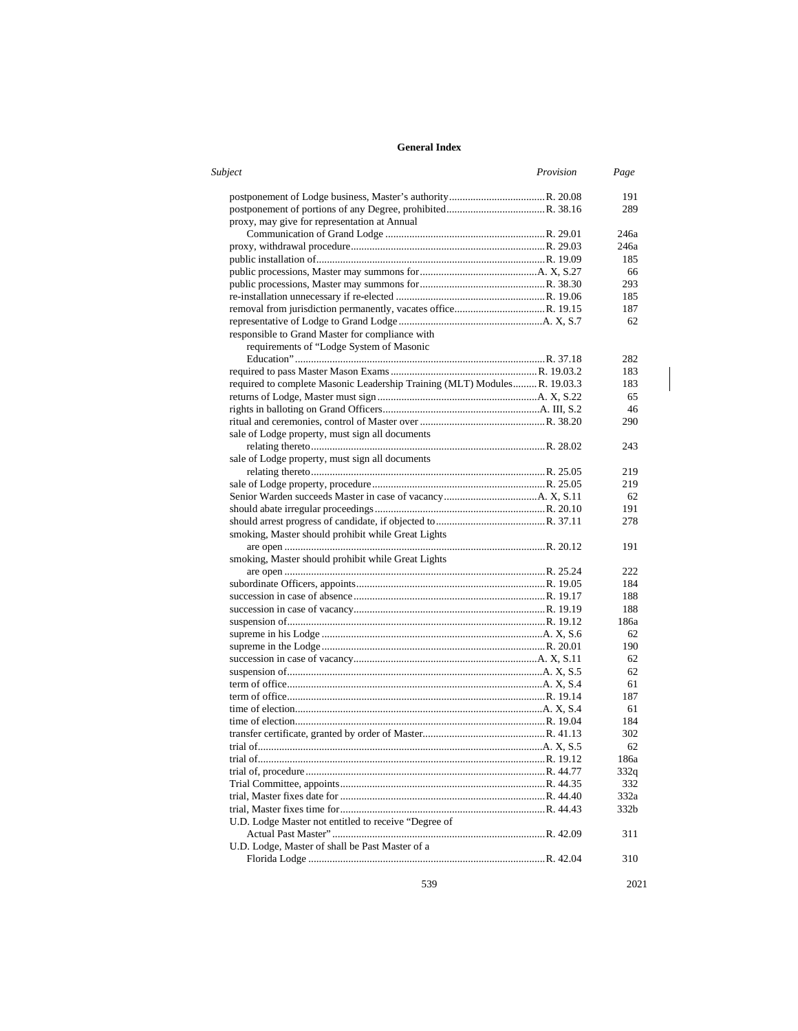| Subject                                                                   | Provision | Page |
|---------------------------------------------------------------------------|-----------|------|
|                                                                           |           | 191  |
|                                                                           |           | 289  |
| proxy, may give for representation at Annual                              |           |      |
|                                                                           |           | 246a |
|                                                                           |           | 246a |
|                                                                           |           | 185  |
|                                                                           |           | 66   |
|                                                                           |           | 293  |
|                                                                           |           | 185  |
|                                                                           |           | 187  |
|                                                                           |           | 62   |
| responsible to Grand Master for compliance with                           |           |      |
| requirements of "Lodge System of Masonic                                  |           |      |
|                                                                           |           | 282  |
|                                                                           |           | 183  |
| required to complete Masonic Leadership Training (MLT) Modules R. 19.03.3 |           | 183  |
|                                                                           |           | 65   |
|                                                                           |           | 46   |
|                                                                           |           | 290  |
| sale of Lodge property, must sign all documents                           |           |      |
|                                                                           |           | 243  |
| sale of Lodge property, must sign all documents                           |           |      |
|                                                                           |           | 219  |
|                                                                           |           | 219  |
|                                                                           |           | 62   |
|                                                                           |           | 191  |
|                                                                           |           | 278  |
| smoking, Master should prohibit while Great Lights                        |           |      |
|                                                                           |           | 191  |
| smoking, Master should prohibit while Great Lights                        |           |      |
|                                                                           |           | 222  |
|                                                                           |           | 184  |
|                                                                           |           | 188  |
|                                                                           |           | 188  |
|                                                                           |           | 186a |
|                                                                           |           | 62   |
|                                                                           |           | 190  |
|                                                                           |           | 62   |
|                                                                           |           | 62   |
|                                                                           |           | 61   |
|                                                                           |           | 187  |
|                                                                           |           | 61   |
|                                                                           |           | 184  |
|                                                                           |           | 302  |
|                                                                           |           | 62   |
|                                                                           |           | 186a |
|                                                                           |           | 332q |
|                                                                           |           | 332  |
|                                                                           |           | 332a |
|                                                                           |           | 332b |
| U.D. Lodge Master not entitled to receive "Degree of                      |           |      |
|                                                                           |           |      |
| U.D. Lodge, Master of shall be Past Master of a                           |           | 311  |
|                                                                           |           | 310  |
|                                                                           |           |      |

539 2021